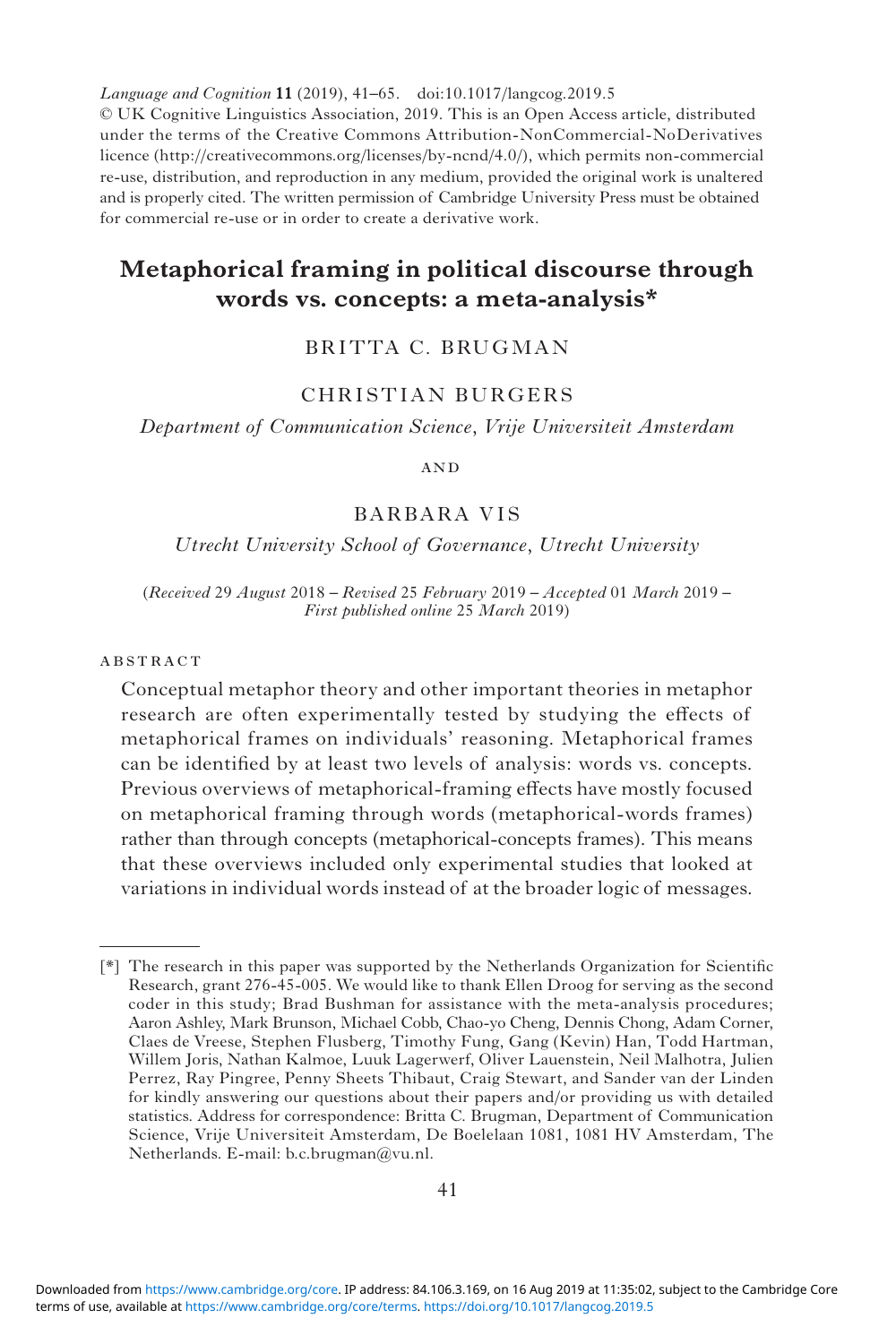*Language and Cognition* **11** (2019), 41–65. doi:10.1017/langcog.2019.5

© UK Cognitive Linguistics Association, 2019. This is an Open Access article, distributed under the terms of the Creative Commons Attribution-NonCommercial-NoDerivatives licence (<http://creativecommons.org/licenses/by-ncnd/4.0/>), which permits non-commercial re-use, distribution, and reproduction in any medium, provided the original work is unaltered and is properly cited. The written permission of Cambridge University Press must be obtained for commercial re-use or in order to create a derivative work.

# **Metaphorical framing in political discourse through words vs. concepts: a meta-analysis\***

# BRITTA C. BRUGMAN

# CHRISTIAN BURGERS

*Department of Communication Science*, *Vrije Universiteit Amsterdam*

**AND** 

# BARBARA VIS

### *Utrecht University School of Governance*, *Utrecht University*

(*Received* 29 *August* 2018 *– Revised* 25 *February* 2019 *– Accepted* 01 *March* 2019 *– First published online* 25 *March* 2019)

#### **ABSTRACT**

Conceptual metaphor theory and other important theories in metaphor research are often experimentally tested by studying the effects of metaphorical frames on individuals' reasoning. Metaphorical frames can be identified by at least two levels of analysis: words vs. concepts. Previous overviews of metaphorical-framing effects have mostly focused on metaphorical framing through words (metaphorical-words frames) rather than through concepts (metaphorical-concepts frames). This means that these overviews included only experimental studies that looked at variations in individual words instead of at the broader logic of messages.

<sup>[\*]</sup> The research in this paper was supported by the Netherlands Organization for Scientific Research, grant 276-45-005. We would like to thank Ellen Droog for serving as the second coder in this study; Brad Bushman for assistance with the meta-analysis procedures; Aaron Ashley, Mark Brunson, Michael Cobb, Chao-yo Cheng, Dennis Chong, Adam Corner, Claes de Vreese, Stephen Flusberg, Timothy Fung, Gang (Kevin) Han, Todd Hartman, Willem Joris, Nathan Kalmoe, Luuk Lagerwerf, Oliver Lauenstein, Neil Malhotra, Julien Perrez, Ray Pingree, Penny Sheets Thibaut, Craig Stewart, and Sander van der Linden for kindly answering our questions about their papers and/or providing us with detailed statistics. Address for correspondence: Britta C. Brugman, Department of Communication Science, Vrije Universiteit Amsterdam, De Boelelaan 1081, 1081 HV Amsterdam, The Netherlands. E-mail: [b.c.brugman@vu.nl](mailto:b.c.brugman@vu.nl).

terms of use, available at [https://www.cambridge.org/core/terms.](https://www.cambridge.org/core/terms) <https://doi.org/10.1017/langcog.2019.5> Downloaded from [https://www.cambridge.org/core.](https://www.cambridge.org/core) IP address: 84.106.3.169, on 16 Aug 2019 at 11:35:02, subject to the Cambridge Core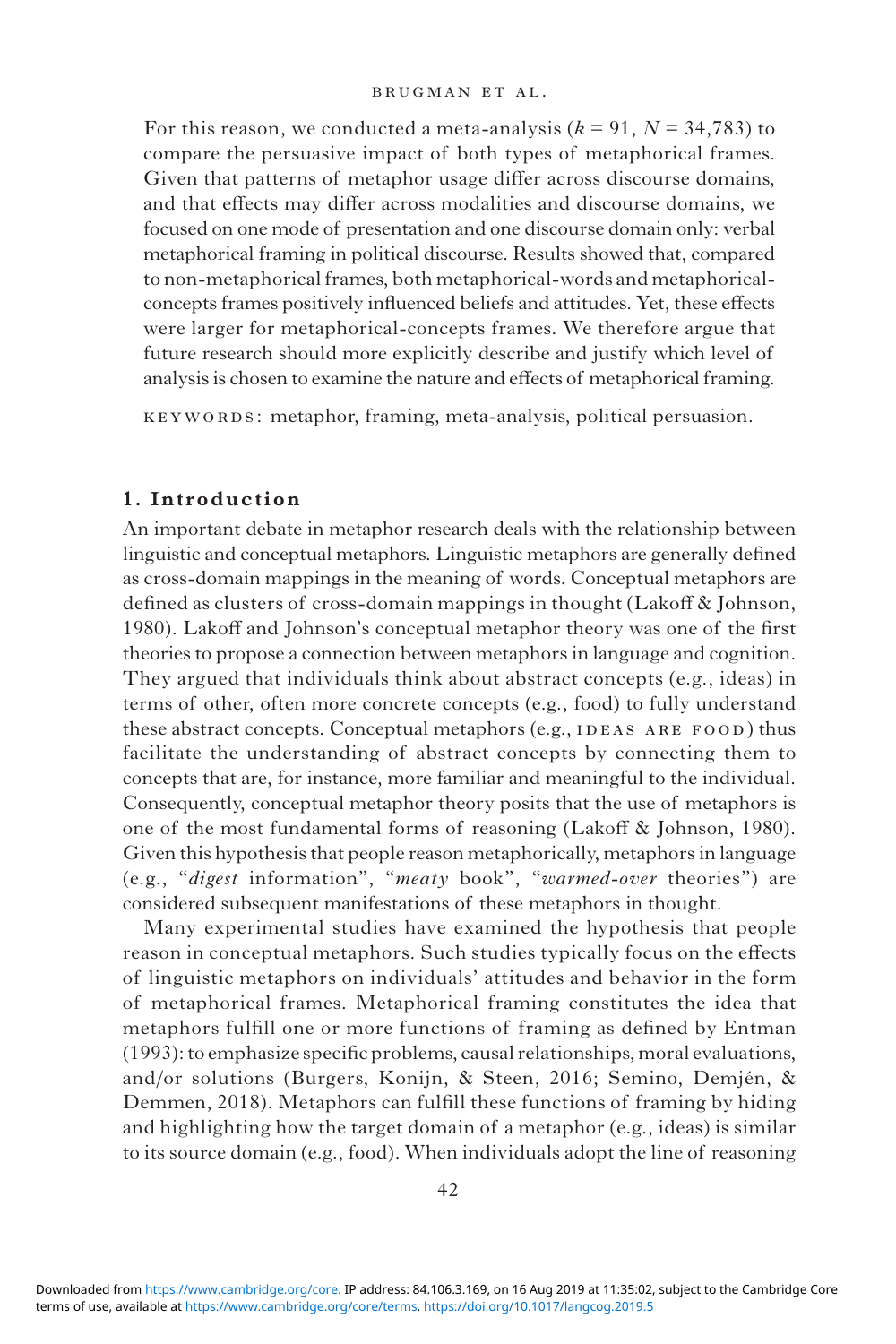For this reason, we conducted a meta-analysis  $(k = 91, N = 34,783)$  to compare the persuasive impact of both types of metaphorical frames. Given that patterns of metaphor usage differ across discourse domains, and that effects may differ across modalities and discourse domains, we focused on one mode of presentation and one discourse domain only: verbal metaphorical framing in political discourse. Results showed that, compared to non-metaphorical frames, both metaphorical-words and metaphoricalconcepts frames positively influenced beliefs and attitudes. Yet, these effects were larger for metaphorical-concepts frames. We therefore argue that future research should more explicitly describe and justify which level of analysis is chosen to examine the nature and effects of metaphorical framing.

keywords: metaphor, framing, meta-analysis, political persuasion.

### **1. Introduction**

An important debate in metaphor research deals with the relationship between linguistic and conceptual metaphors. Linguistic metaphors are generally defined as cross-domain mappings in the meaning of words. Conceptual metaphors are defined as clusters of cross-domain mappings in thought (Lakoff & Johnson, 1980). Lakoff and Johnson's conceptual metaphor theory was one of the first theories to propose a connection between metaphors in language and cognition. They argued that individuals think about abstract concepts (e.g., ideas) in terms of other, often more concrete concepts (e.g., food) to fully understand these abstract concepts. Conceptual metaphors (e.g., IDEAS ARE FOOD) thus facilitate the understanding of abstract concepts by connecting them to concepts that are, for instance, more familiar and meaningful to the individual. Consequently, conceptual metaphor theory posits that the use of metaphors is one of the most fundamental forms of reasoning (Lakoff & Johnson, 1980). Given this hypothesis that people reason metaphorically, metaphors in language (e.g., "*digest* information", "*meaty* book", "*warmed-over* theories") are considered subsequent manifestations of these metaphors in thought.

Many experimental studies have examined the hypothesis that people reason in conceptual metaphors. Such studies typically focus on the effects of linguistic metaphors on individuals' attitudes and behavior in the form of metaphorical frames. Metaphorical framing constitutes the idea that metaphors fulfill one or more functions of framing as defined by Entman (1993): to emphasize specific problems, causal relationships, moral evaluations, and/or solutions (Burgers, Konijn, & Steen, 2016; Semino, Demjén, & Demmen, 2018). Metaphors can fulfill these functions of framing by hiding and highlighting how the target domain of a metaphor (e.g., ideas) is similar to its source domain (e.g., food). When individuals adopt the line of reasoning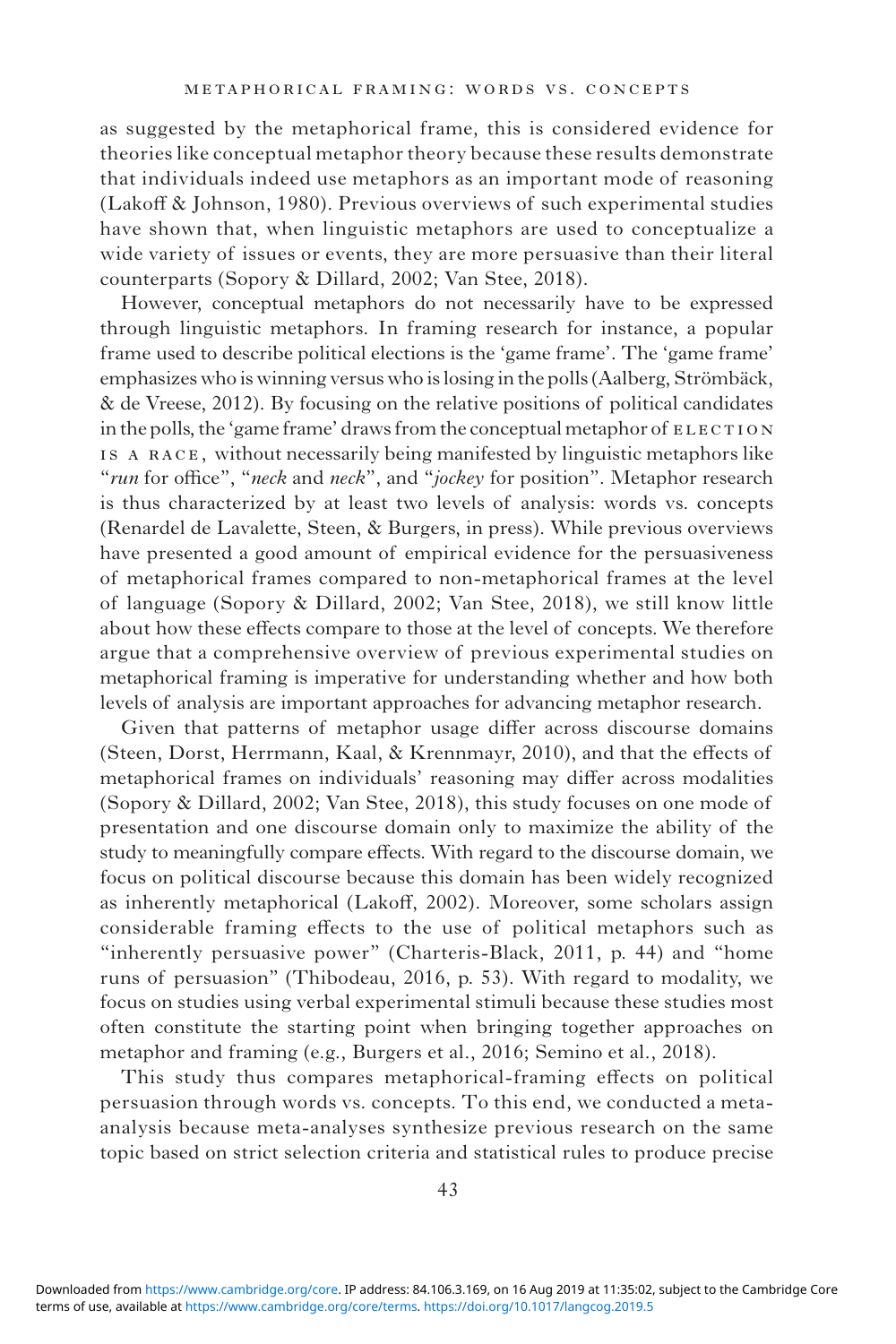as suggested by the metaphorical frame, this is considered evidence for theories like conceptual metaphor theory because these results demonstrate that individuals indeed use metaphors as an important mode of reasoning (Lakoff & Johnson, 1980). Previous overviews of such experimental studies have shown that, when linguistic metaphors are used to conceptualize a wide variety of issues or events, they are more persuasive than their literal counterparts (Sopory & Dillard, 2002; Van Stee, 2018).

However, conceptual metaphors do not necessarily have to be expressed through linguistic metaphors. In framing research for instance, a popular frame used to describe political elections is the 'game frame'. The 'game frame' emphasizes who is winning versus who is losing in the polls (Aalberg, Strömbäck, & de Vreese, 2012). By focusing on the relative positions of political candidates in the polls, the 'game frame' draws from the conceptual metaphor of ELECTION is a race, without necessarily being manifested by linguistic metaphors like "*run* for office", "*neck* and *neck*", and "*jockey* for position". Metaphor research is thus characterized by at least two levels of analysis: words vs. concepts (Renardel de Lavalette, Steen, & Burgers, in press). While previous overviews have presented a good amount of empirical evidence for the persuasiveness of metaphorical frames compared to non-metaphorical frames at the level of language (Sopory & Dillard, 2002; Van Stee, 2018), we still know little about how these effects compare to those at the level of concepts. We therefore argue that a comprehensive overview of previous experimental studies on metaphorical framing is imperative for understanding whether and how both levels of analysis are important approaches for advancing metaphor research.

Given that patterns of metaphor usage differ across discourse domains (Steen, Dorst, Herrmann, Kaal, & Krennmayr, 2010), and that the effects of metaphorical frames on individuals' reasoning may differ across modalities (Sopory & Dillard, 2002; Van Stee, 2018), this study focuses on one mode of presentation and one discourse domain only to maximize the ability of the study to meaningfully compare effects. With regard to the discourse domain, we focus on political discourse because this domain has been widely recognized as inherently metaphorical (Lakoff, 2002). Moreover, some scholars assign considerable framing effects to the use of political metaphors such as "inherently persuasive power" (Charteris-Black, 2011, p. 44) and "home runs of persuasion" (Thibodeau, 2016, p. 53). With regard to modality, we focus on studies using verbal experimental stimuli because these studies most often constitute the starting point when bringing together approaches on metaphor and framing (e.g., Burgers et al., 2016; Semino et al., 2018).

This study thus compares metaphorical-framing effects on political persuasion through words vs. concepts. To this end, we conducted a metaanalysis because meta-analyses synthesize previous research on the same topic based on strict selection criteria and statistical rules to produce precise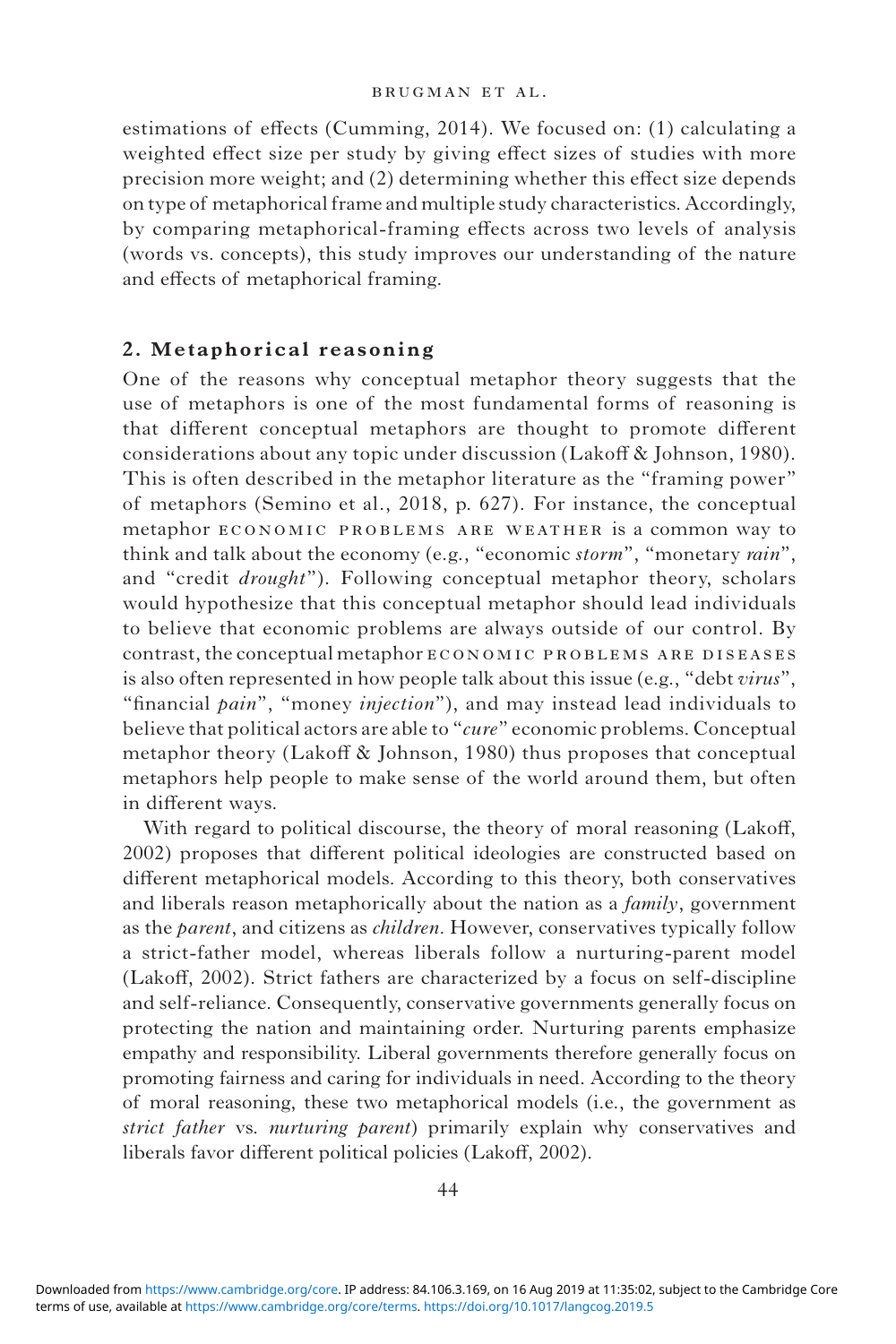estimations of effects (Cumming, 2014). We focused on: (1) calculating a weighted effect size per study by giving effect sizes of studies with more precision more weight; and (2) determining whether this effect size depends on type of metaphorical frame and multiple study characteristics. Accordingly, by comparing metaphorical-framing effects across two levels of analysis (words vs. concepts), this study improves our understanding of the nature and effects of metaphorical framing.

### **2. Metaphorical reasoning**

One of the reasons why conceptual metaphor theory suggests that the use of metaphors is one of the most fundamental forms of reasoning is that different conceptual metaphors are thought to promote different considerations about any topic under discussion (Lakoff & Johnson, 1980). This is often described in the metaphor literature as the "framing power" of metaphors (Semino et al., 2018, p. 627). For instance, the conceptual metaphor economic problems are weather is a common way to think and talk about the economy (e.g., "economic *storm*", "monetary *rain*", and "credit *drought*"). Following conceptual metaphor theory, scholars would hypothesize that this conceptual metaphor should lead individuals to believe that economic problems are always outside of our control. By contrast, the conceptual metaphor ECONOMIC PROBLEMS ARE DISEASES is also often represented in how people talk about this issue (e.g., "debt *virus*", "financial *pain*", "money *injection*"), and may instead lead individuals to believe that political actors are able to "*cure*" economic problems. Conceptual metaphor theory (Lakoff & Johnson, 1980) thus proposes that conceptual metaphors help people to make sense of the world around them, but often in different ways.

With regard to political discourse, the theory of moral reasoning (Lakoff, 2002) proposes that different political ideologies are constructed based on different metaphorical models. According to this theory, both conservatives and liberals reason metaphorically about the nation as a *family*, government as the *parent*, and citizens as *children*. However, conservatives typically follow a strict-father model, whereas liberals follow a nurturing-parent model (Lakoff, 2002). Strict fathers are characterized by a focus on self-discipline and self-reliance. Consequently, conservative governments generally focus on protecting the nation and maintaining order. Nurturing parents emphasize empathy and responsibility. Liberal governments therefore generally focus on promoting fairness and caring for individuals in need. According to the theory of moral reasoning, these two metaphorical models (i.e., the government as *strict father* vs. *nurturing parent*) primarily explain why conservatives and liberals favor different political policies (Lakoff, 2002).

terms of use, available at [https://www.cambridge.org/core/terms.](https://www.cambridge.org/core/terms) <https://doi.org/10.1017/langcog.2019.5> Downloaded from [https://www.cambridge.org/core.](https://www.cambridge.org/core) IP address: 84.106.3.169, on 16 Aug 2019 at 11:35:02, subject to the Cambridge Core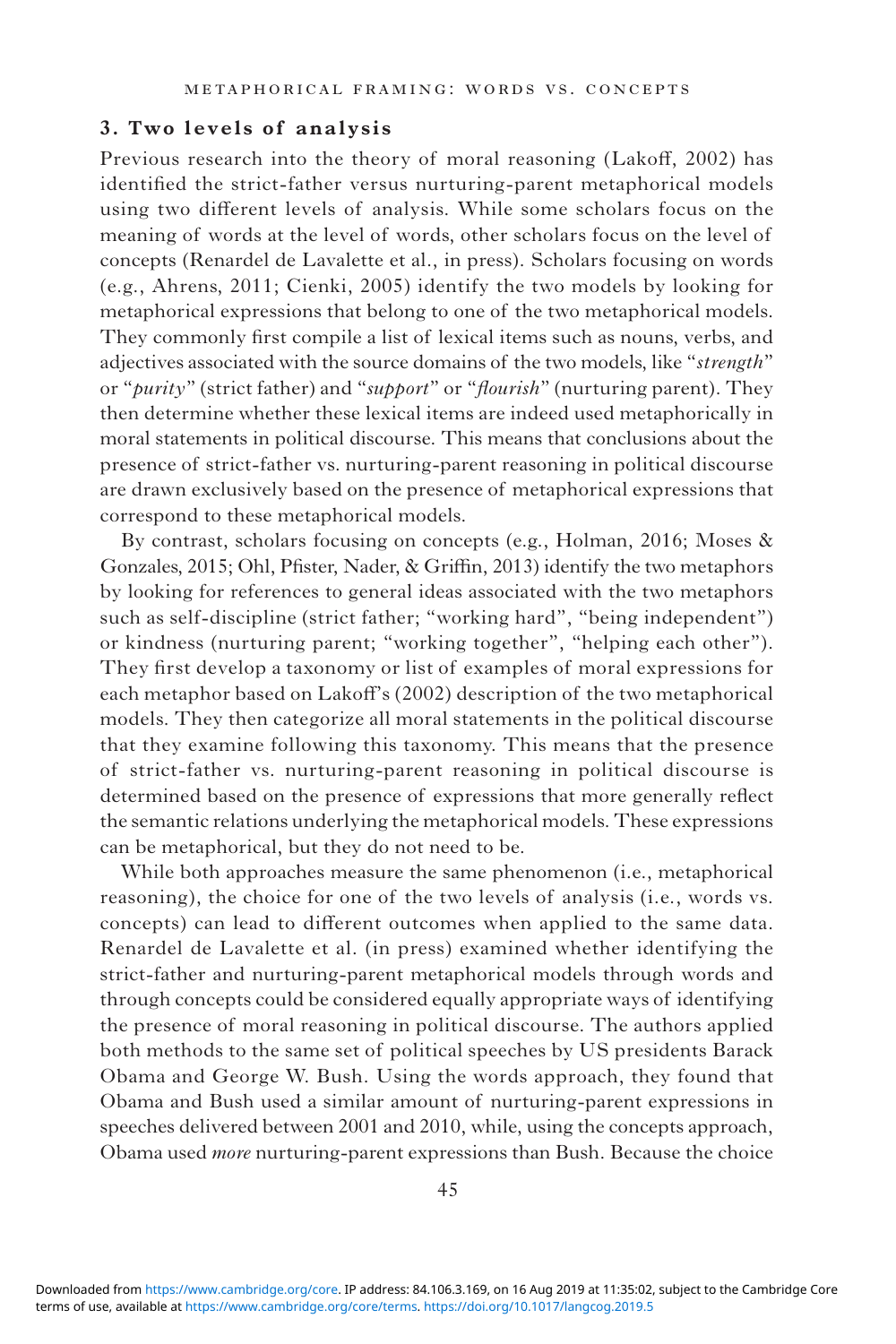## **3. Two levels of analysis**

Previous research into the theory of moral reasoning (Lakoff, 2002) has identified the strict-father versus nurturing-parent metaphorical models using two different levels of analysis. While some scholars focus on the meaning of words at the level of words, other scholars focus on the level of concepts (Renardel de Lavalette et al., in press). Scholars focusing on words (e.g., Ahrens, 2011; Cienki, 2005) identify the two models by looking for metaphorical expressions that belong to one of the two metaphorical models. They commonly first compile a list of lexical items such as nouns, verbs, and adjectives associated with the source domains of the two models, like "*strength*" or "*purity*" (strict father) and "*support*" or "*flourish*" (nurturing parent). They then determine whether these lexical items are indeed used metaphorically in moral statements in political discourse. This means that conclusions about the presence of strict-father vs. nurturing-parent reasoning in political discourse are drawn exclusively based on the presence of metaphorical expressions that correspond to these metaphorical models.

By contrast, scholars focusing on concepts (e.g., Holman, 2016; Moses & Gonzales, 2015; Ohl, Pfister, Nader, & Griffin, 2013) identify the two metaphors by looking for references to general ideas associated with the two metaphors such as self-discipline (strict father; "working hard", "being independent") or kindness (nurturing parent; "working together", "helping each other"). They first develop a taxonomy or list of examples of moral expressions for each metaphor based on Lakoff's (2002) description of the two metaphorical models. They then categorize all moral statements in the political discourse that they examine following this taxonomy. This means that the presence of strict-father vs. nurturing-parent reasoning in political discourse is determined based on the presence of expressions that more generally reflect the semantic relations underlying the metaphorical models. These expressions can be metaphorical, but they do not need to be.

While both approaches measure the same phenomenon (i.e., metaphorical reasoning), the choice for one of the two levels of analysis (i.e., words vs. concepts) can lead to different outcomes when applied to the same data. Renardel de Lavalette et al. (in press) examined whether identifying the strict-father and nurturing-parent metaphorical models through words and through concepts could be considered equally appropriate ways of identifying the presence of moral reasoning in political discourse. The authors applied both methods to the same set of political speeches by US presidents Barack Obama and George W. Bush. Using the words approach, they found that Obama and Bush used a similar amount of nurturing-parent expressions in speeches delivered between 2001 and 2010, while, using the concepts approach, Obama used *more* nurturing-parent expressions than Bush. Because the choice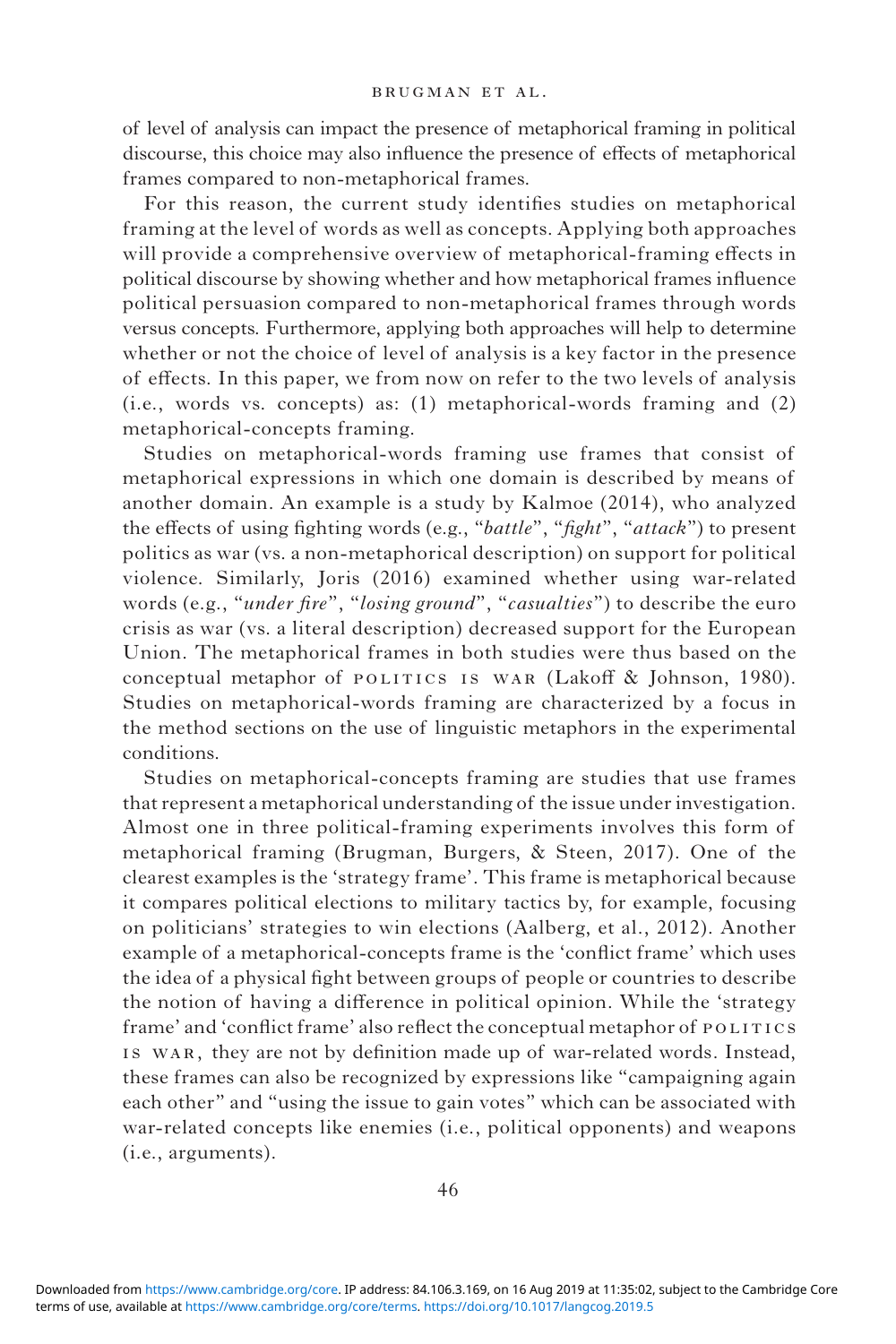of level of analysis can impact the presence of metaphorical framing in political discourse, this choice may also influence the presence of effects of metaphorical frames compared to non-metaphorical frames.

For this reason, the current study identifies studies on metaphorical framing at the level of words as well as concepts. Applying both approaches will provide a comprehensive overview of metaphorical-framing effects in political discourse by showing whether and how metaphorical frames influence political persuasion compared to non-metaphorical frames through words versus concepts. Furthermore, applying both approaches will help to determine whether or not the choice of level of analysis is a key factor in the presence of effects. In this paper, we from now on refer to the two levels of analysis (i.e., words vs. concepts) as: (1) metaphorical-words framing and (2) metaphorical-concepts framing.

Studies on metaphorical-words framing use frames that consist of metaphorical expressions in which one domain is described by means of another domain. An example is a study by Kalmoe (2014), who analyzed the effects of using fighting words (e.g., "*battle*", "*fight*", "*attack*") to present politics as war (vs. a non-metaphorical description) on support for political violence. Similarly, Joris (2016) examined whether using war-related words (e.g., "*under fire*", "*losing ground*", "*casualties*") to describe the euro crisis as war (vs. a literal description) decreased support for the European Union. The metaphorical frames in both studies were thus based on the conceptual metaphor of POLITICS IS WAR (Lakoff & Johnson, 1980). Studies on metaphorical-words framing are characterized by a focus in the method sections on the use of linguistic metaphors in the experimental conditions.

Studies on metaphorical-concepts framing are studies that use frames that represent a metaphorical understanding of the issue under investigation. Almost one in three political-framing experiments involves this form of metaphorical framing (Brugman, Burgers, & Steen, 2017). One of the clearest examples is the 'strategy frame'. This frame is metaphorical because it compares political elections to military tactics by, for example, focusing on politicians' strategies to win elections (Aalberg, et al., 2012). Another example of a metaphorical-concepts frame is the 'conflict frame' which uses the idea of a physical fight between groups of people or countries to describe the notion of having a difference in political opinion. While the 'strategy frame' and 'conflict frame' also reflect the conceptual metaphor of POLITICS is war, they are not by definition made up of war-related words*.* Instead, these frames can also be recognized by expressions like "campaigning again each other" and "using the issue to gain votes" which can be associated with war-related concepts like enemies (i.e., political opponents) and weapons (i.e., arguments).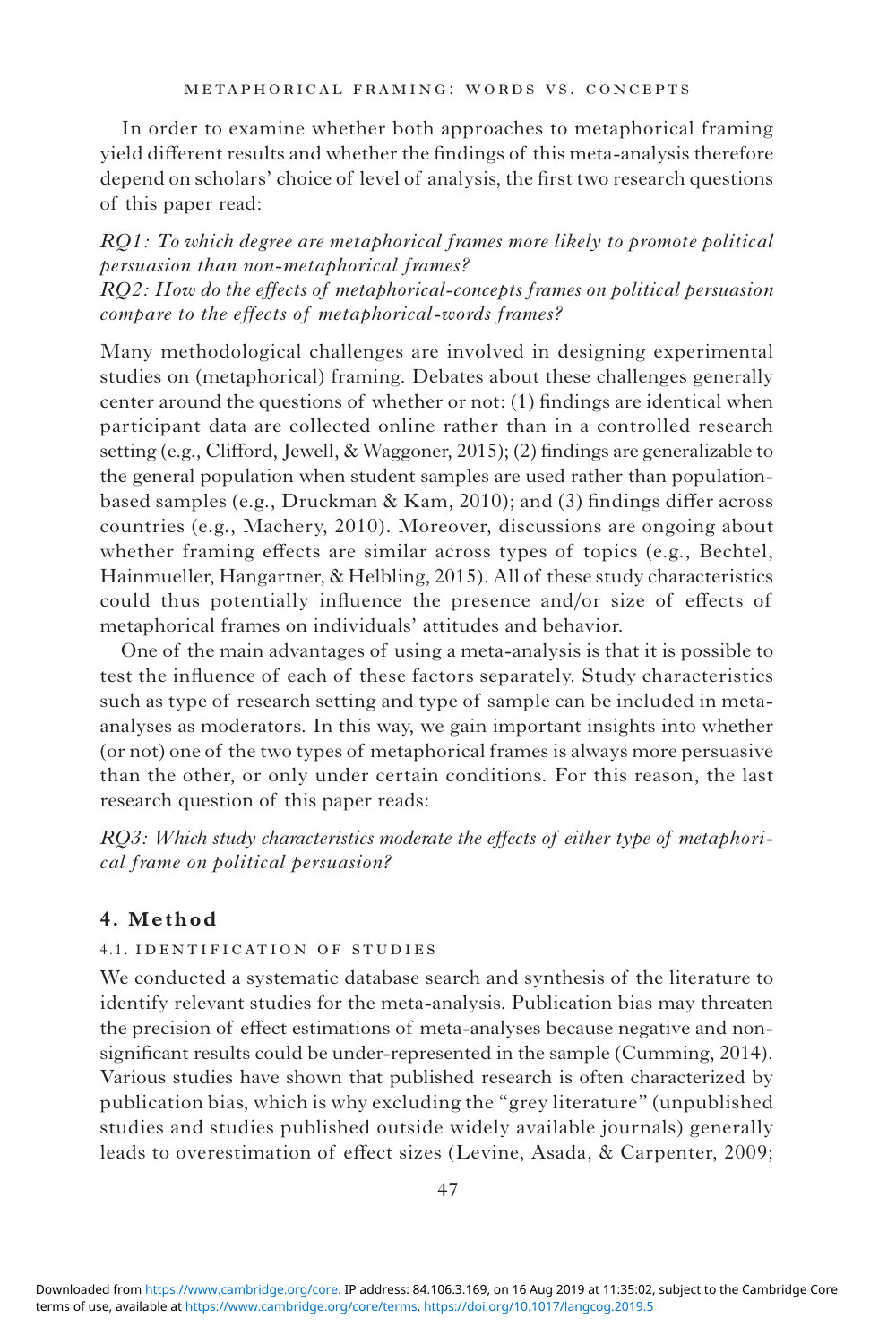In order to examine whether both approaches to metaphorical framing yield different results and whether the findings of this meta-analysis therefore depend on scholars' choice of level of analysis, the first two research questions of this paper read:

*RQ1: To which degree are metaphorical frames more likely to promote political persuasion than non-metaphorical frames? RQ2: How do the effects of metaphorical-concepts frames on political persuasion compare to the effects of metaphorical-words frames?*

Many methodological challenges are involved in designing experimental studies on (metaphorical) framing. Debates about these challenges generally center around the questions of whether or not: (1) findings are identical when participant data are collected online rather than in a controlled research setting (e.g., Clifford, Jewell, & Waggoner, 2015); (2) findings are generalizable to the general population when student samples are used rather than populationbased samples (e.g., Druckman & Kam, 2010); and (3) findings differ across countries (e.g., Machery, 2010). Moreover, discussions are ongoing about whether framing effects are similar across types of topics (e.g., Bechtel, Hainmueller, Hangartner, & Helbling, 2015). All of these study characteristics could thus potentially influence the presence and/or size of effects of metaphorical frames on individuals' attitudes and behavior.

One of the main advantages of using a meta-analysis is that it is possible to test the influence of each of these factors separately. Study characteristics such as type of research setting and type of sample can be included in metaanalyses as moderators. In this way, we gain important insights into whether (or not) one of the two types of metaphorical frames is always more persuasive than the other, or only under certain conditions. For this reason, the last research question of this paper reads:

*RQ3: Which study characteristics moderate the effects of either type of metaphorical frame on political persuasion?*

# **4. Method**

### 4.1. identification of studies

We conducted a systematic database search and synthesis of the literature to identify relevant studies for the meta-analysis. Publication bias may threaten the precision of effect estimations of meta-analyses because negative and nonsignificant results could be under-represented in the sample (Cumming, 2014). Various studies have shown that published research is often characterized by publication bias, which is why excluding the "grey literature" (unpublished studies and studies published outside widely available journals) generally leads to overestimation of effect sizes (Levine, Asada, & Carpenter, 2009;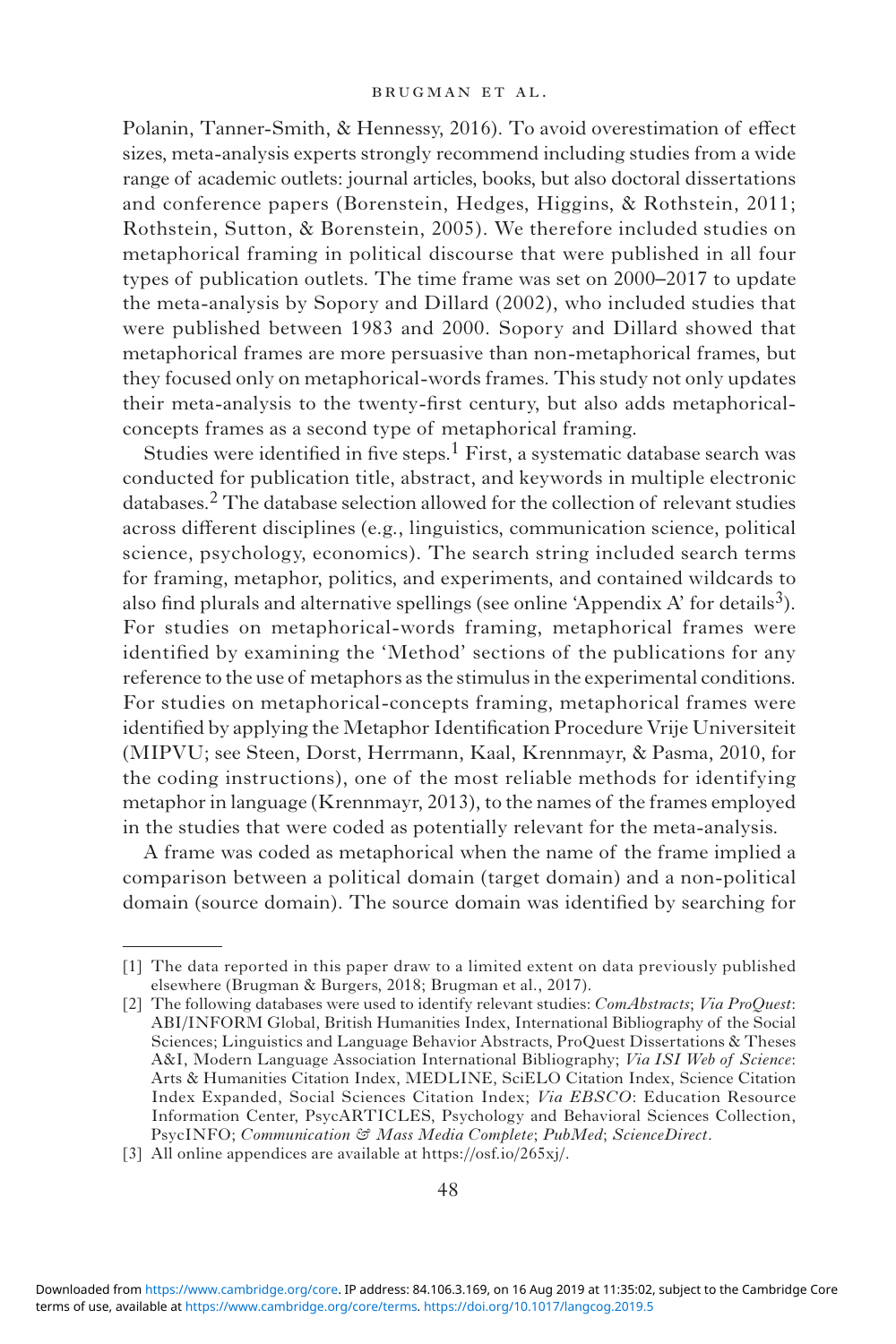Polanin, Tanner-Smith, & Hennessy, 2016). To avoid overestimation of effect sizes, meta-analysis experts strongly recommend including studies from a wide range of academic outlets: journal articles, books, but also doctoral dissertations and conference papers (Borenstein, Hedges, Higgins, & Rothstein, 2011; Rothstein, Sutton, & Borenstein, 2005). We therefore included studies on metaphorical framing in political discourse that were published in all four types of publication outlets. The time frame was set on 2000–2017 to update the meta-analysis by Sopory and Dillard (2002), who included studies that were published between 1983 and 2000. Sopory and Dillard showed that metaphorical frames are more persuasive than non-metaphorical frames, but they focused only on metaphorical-words frames. This study not only updates their meta-analysis to the twenty-first century, but also adds metaphoricalconcepts frames as a second type of metaphorical framing.

Studies were identified in five steps.<sup>1</sup> First, a systematic database search was conducted for publication title, abstract, and keywords in multiple electronic databases.2 The database selection allowed for the collection of relevant studies across different disciplines (e.g., linguistics, communication science, political science, psychology, economics). The search string included search terms for framing, metaphor, politics, and experiments, and contained wildcards to also find plurals and alternative spellings (see online 'Appendix A' for details<sup>3</sup>). For studies on metaphorical-words framing, metaphorical frames were identified by examining the 'Method' sections of the publications for any reference to the use of metaphors as the stimulus in the experimental conditions. For studies on metaphorical-concepts framing, metaphorical frames were identified by applying the Metaphor Identification Procedure Vrije Universiteit (MIPVU; see Steen, Dorst, Herrmann, Kaal, Krennmayr, & Pasma, 2010, for the coding instructions), one of the most reliable methods for identifying metaphor in language (Krennmayr, 2013), to the names of the frames employed in the studies that were coded as potentially relevant for the meta-analysis.

A frame was coded as metaphorical when the name of the frame implied a comparison between a political domain (target domain) and a non-political domain (source domain). The source domain was identified by searching for

<sup>[1]</sup> The data reported in this paper draw to a limited extent on data previously published elsewhere (Brugman & Burgers, 2018; Brugman et al., 2017).

<sup>[2]</sup> The following databases were used to identify relevant studies: *ComAbstracts*; *Via ProQuest*: ABI/INFORM Global, British Humanities Index, International Bibliography of the Social Sciences; Linguistics and Language Behavior Abstracts, ProQuest Dissertations & Theses A&I, Modern Language Association International Bibliography; *Via ISI Web of Science*: Arts & Humanities Citation Index, MEDLINE, SciELO Citation Index, Science Citation Index Expanded, Social Sciences Citation Index; *Via EBSCO*: Education Resource Information Center, PsycARTICLES, Psychology and Behavioral Sciences Collection, PsycINFO; *Communication & Mass Media Complete*; *PubMed*; *ScienceDirect*.

<sup>[3]</sup> All online appendices are available at [https://osf.io/265xj/.](https://osf.io/265xj/)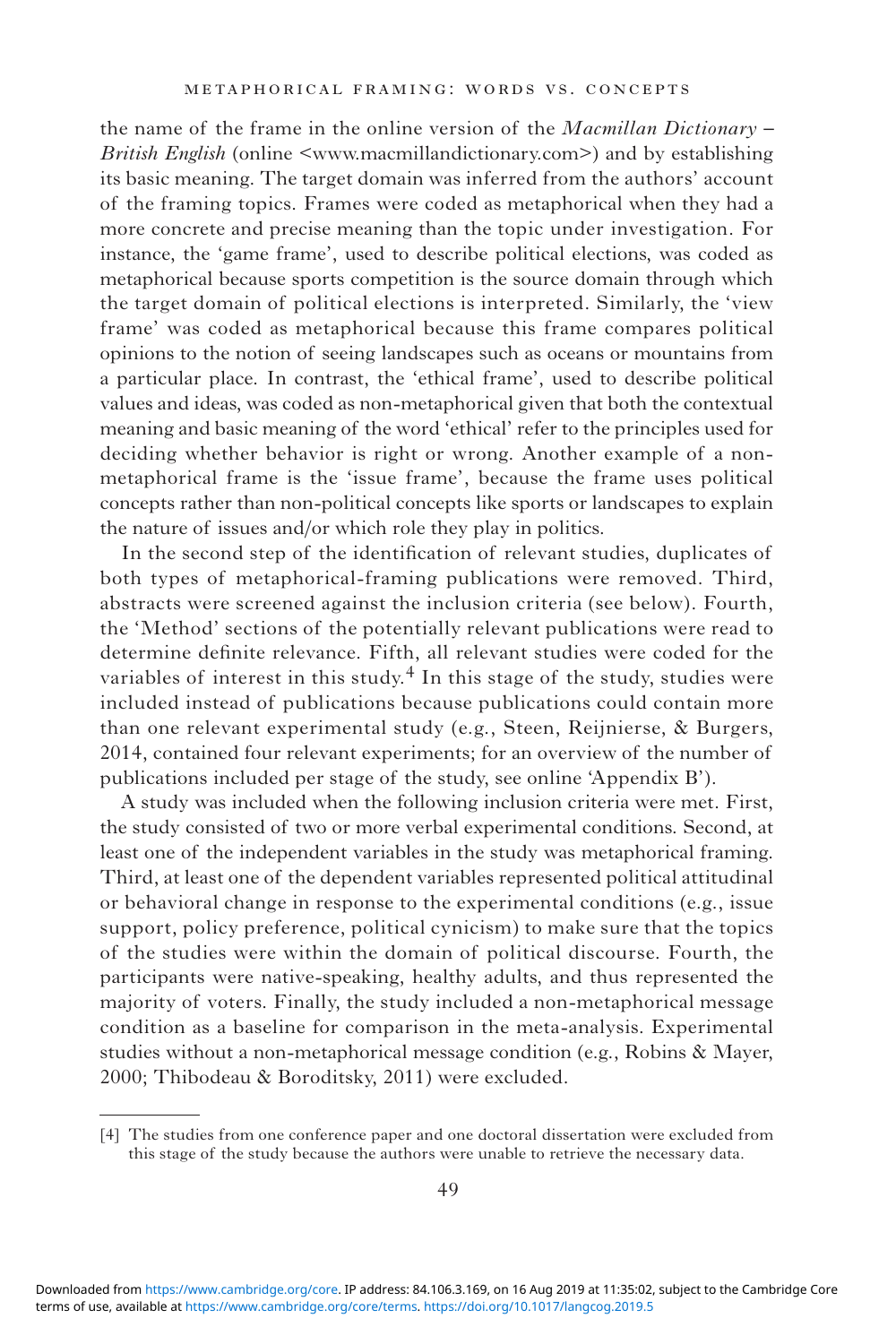the name of the frame in the online version of the *Macmillan Dictionary – British English* (online [<www.macmillandictionary.com](http://www.macmillandictionary.com)>) and by establishing its basic meaning. The target domain was inferred from the authors' account of the framing topics. Frames were coded as metaphorical when they had a more concrete and precise meaning than the topic under investigation. For instance, the 'game frame', used to describe political elections, was coded as metaphorical because sports competition is the source domain through which the target domain of political elections is interpreted. Similarly, the 'view frame' was coded as metaphorical because this frame compares political opinions to the notion of seeing landscapes such as oceans or mountains from a particular place. In contrast, the 'ethical frame', used to describe political values and ideas, was coded as non-metaphorical given that both the contextual meaning and basic meaning of the word 'ethical' refer to the principles used for deciding whether behavior is right or wrong. Another example of a nonmetaphorical frame is the 'issue frame', because the frame uses political concepts rather than non-political concepts like sports or landscapes to explain the nature of issues and/or which role they play in politics.

In the second step of the identification of relevant studies, duplicates of both types of metaphorical-framing publications were removed. Third, abstracts were screened against the inclusion criteria (see below). Fourth, the 'Method' sections of the potentially relevant publications were read to determine definite relevance. Fifth, all relevant studies were coded for the variables of interest in this study. $4$  In this stage of the study, studies were included instead of publications because publications could contain more than one relevant experimental study (e.g., Steen, Reijnierse, & Burgers, 2014, contained four relevant experiments; for an overview of the number of publications included per stage of the study, see online 'Appendix B').

A study was included when the following inclusion criteria were met. First, the study consisted of two or more verbal experimental conditions. Second, at least one of the independent variables in the study was metaphorical framing. Third, at least one of the dependent variables represented political attitudinal or behavioral change in response to the experimental conditions (e.g., issue support, policy preference, political cynicism) to make sure that the topics of the studies were within the domain of political discourse. Fourth, the participants were native-speaking, healthy adults, and thus represented the majority of voters. Finally, the study included a non-metaphorical message condition as a baseline for comparison in the meta-analysis. Experimental studies without a non-metaphorical message condition (e.g., Robins & Mayer, 2000; Thibodeau & Boroditsky, 2011) were excluded.

<sup>[4]</sup> The studies from one conference paper and one doctoral dissertation were excluded from this stage of the study because the authors were unable to retrieve the necessary data.

terms of use, available at [https://www.cambridge.org/core/terms.](https://www.cambridge.org/core/terms) <https://doi.org/10.1017/langcog.2019.5> Downloaded from [https://www.cambridge.org/core.](https://www.cambridge.org/core) IP address: 84.106.3.169, on 16 Aug 2019 at 11:35:02, subject to the Cambridge Core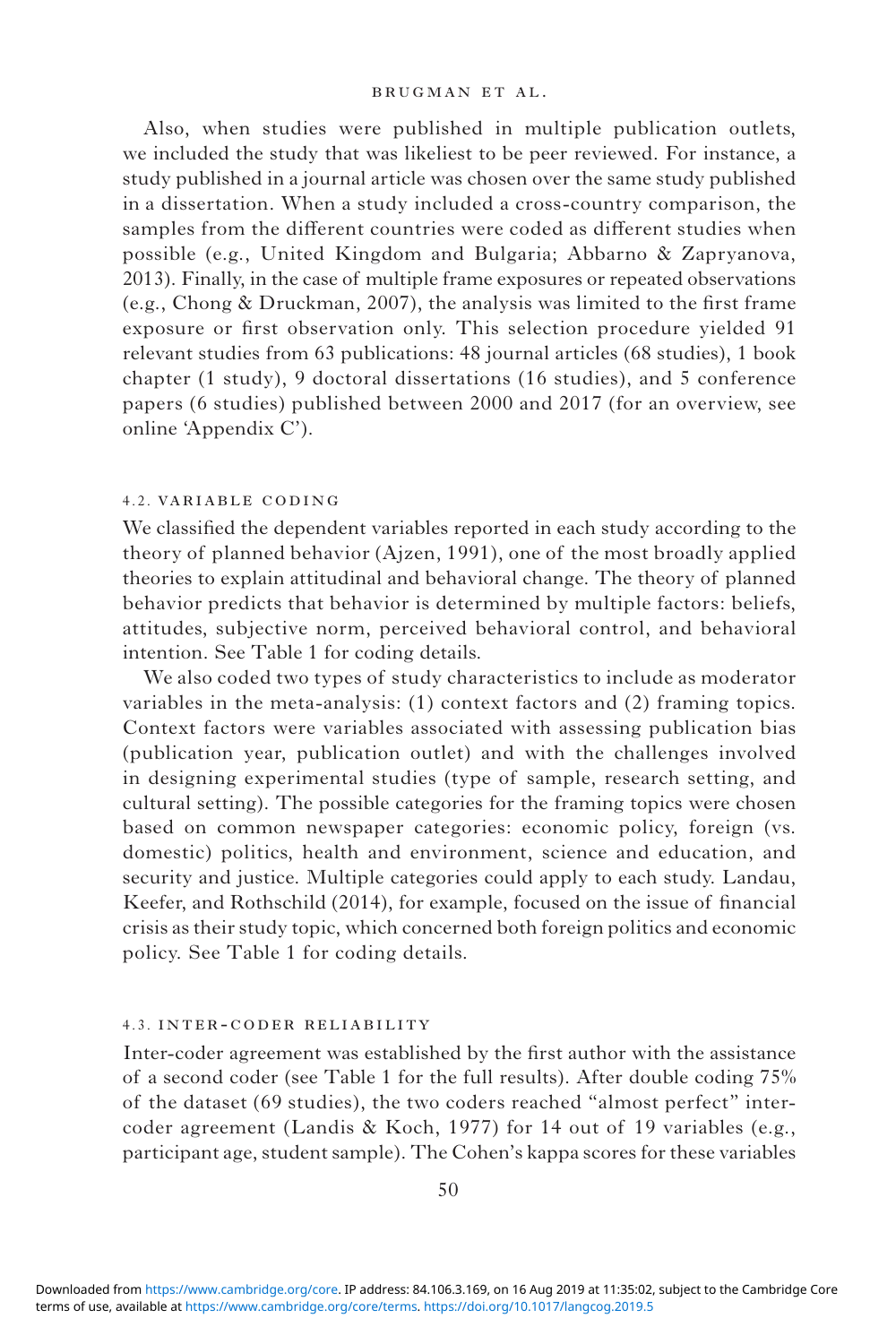Also, when studies were published in multiple publication outlets, we included the study that was likeliest to be peer reviewed. For instance, a study published in a journal article was chosen over the same study published in a dissertation. When a study included a cross-country comparison, the samples from the different countries were coded as different studies when possible (e.g., United Kingdom and Bulgaria; Abbarno & Zapryanova, 2013). Finally, in the case of multiple frame exposures or repeated observations (e.g., Chong & Druckman, 2007), the analysis was limited to the first frame exposure or first observation only. This selection procedure yielded 91 relevant studies from 63 publications: 48 journal articles (68 studies), 1 book chapter (1 study), 9 doctoral dissertations (16 studies), and 5 conference papers (6 studies) published between 2000 and 2017 (for an overview, see online 'Appendix C').

### 4.2. variable coding

We classified the dependent variables reported in each study according to the theory of planned behavior (Ajzen, 1991), one of the most broadly applied theories to explain attitudinal and behavioral change. The theory of planned behavior predicts that behavior is determined by multiple factors: beliefs, attitudes, subjective norm, perceived behavioral control, and behavioral intention. See Table 1 for coding details.

We also coded two types of study characteristics to include as moderator variables in the meta-analysis: (1) context factors and (2) framing topics. Context factors were variables associated with assessing publication bias (publication year, publication outlet) and with the challenges involved in designing experimental studies (type of sample, research setting, and cultural setting). The possible categories for the framing topics were chosen based on common newspaper categories: economic policy, foreign (vs. domestic) politics, health and environment, science and education, and security and justice. Multiple categories could apply to each study. Landau, Keefer, and Rothschild (2014), for example, focused on the issue of financial crisis as their study topic, which concerned both foreign politics and economic policy. See Table 1 for coding details.

### 4.3. inter-coder reliability

Inter-coder agreement was established by the first author with the assistance of a second coder (see Table 1 for the full results). After double coding 75% of the dataset (69 studies), the two coders reached "almost perfect" intercoder agreement (Landis & Koch, 1977) for 14 out of 19 variables (e.g., participant age, student sample). The Cohen's kappa scores for these variables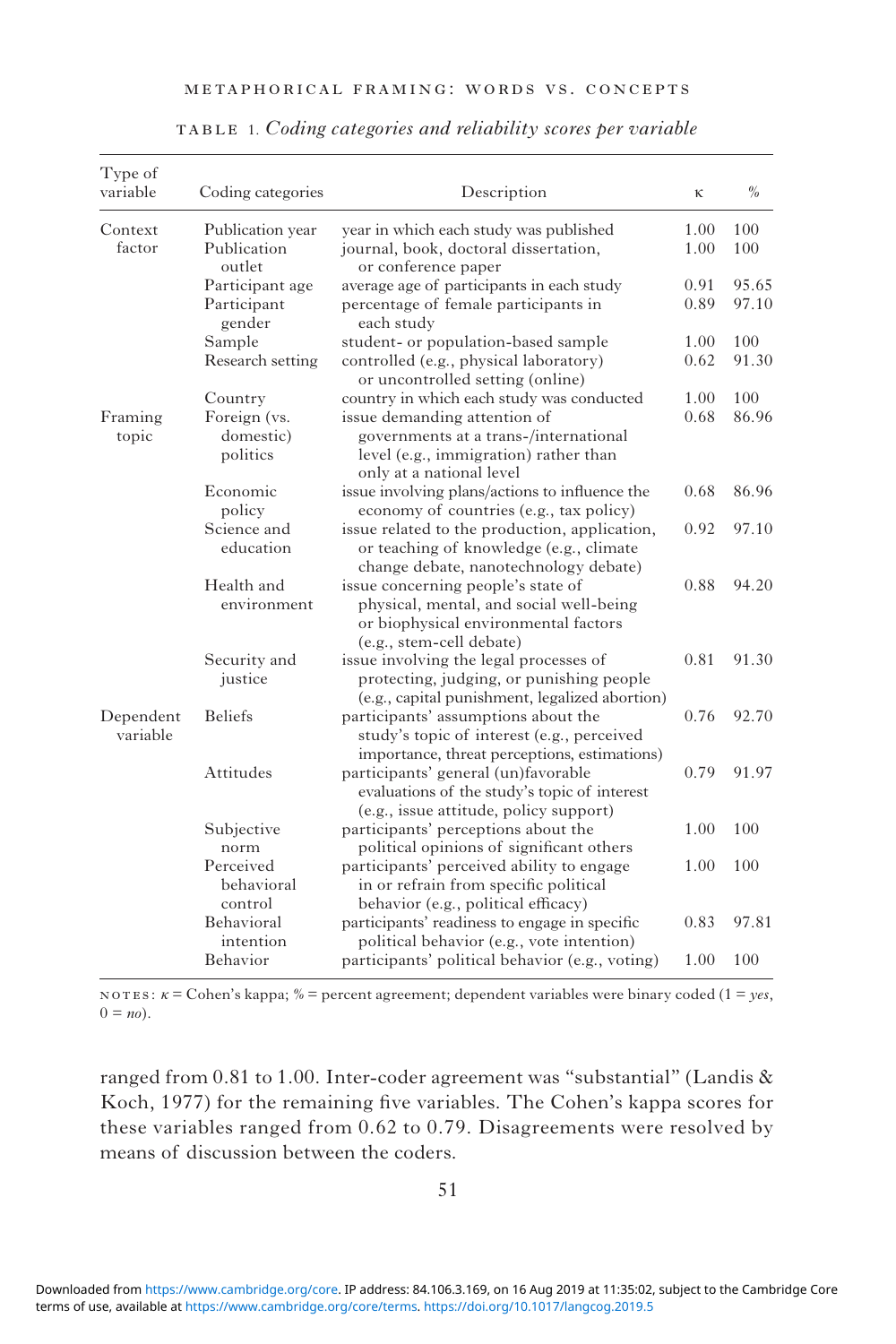| METAPHORICAL FRAMING: WORDS VS. CONCEPTS |  |  |  |  |
|------------------------------------------|--|--|--|--|
|------------------------------------------|--|--|--|--|

| Type of<br>variable   | Coding categories                     | Description                                                                                                                                       | к    | $\frac{0}{0}$ |
|-----------------------|---------------------------------------|---------------------------------------------------------------------------------------------------------------------------------------------------|------|---------------|
| Context               | Publication year                      | year in which each study was published                                                                                                            | 1.00 | 100           |
| factor                | Publication<br>outlet                 | journal, book, doctoral dissertation,<br>or conference paper                                                                                      | 1.00 | 100           |
|                       | Participant age                       | average age of participants in each study                                                                                                         | 0.91 | 95.65         |
|                       | Participant<br>gender                 | percentage of female participants in<br>each study                                                                                                | 0.89 | 97.10         |
|                       | Sample                                | student- or population-based sample                                                                                                               | 1.00 | 100           |
|                       | Research setting                      | controlled (e.g., physical laboratory)<br>or uncontrolled setting (online)                                                                        | 0.62 | 91.30         |
|                       | Country                               | country in which each study was conducted                                                                                                         | 1.00 | 100           |
| Framing<br>topic      | Foreign (vs.<br>domestic)<br>politics | issue demanding attention of<br>governments at a trans-/international<br>level (e.g., immigration) rather than<br>only at a national level        | 0.68 | 86.96         |
|                       | Economic<br>policy                    | issue involving plans/actions to influence the<br>economy of countries (e.g., tax policy)                                                         | 0.68 | 86.96         |
|                       | Science and<br>education              | issue related to the production, application,<br>or teaching of knowledge (e.g., climate<br>change debate, nanotechnology debate)                 | 0.92 | 97.10         |
|                       | Health and<br>environment             | issue concerning people's state of<br>physical, mental, and social well-being<br>or biophysical environmental factors<br>(e.g., stem-cell debate) | 0.88 | 94.20         |
|                       | Security and<br>justice               | issue involving the legal processes of<br>protecting, judging, or punishing people<br>(e.g., capital punishment, legalized abortion)              | 0.81 | 91.30         |
| Dependent<br>variable | <b>Beliefs</b>                        | participants' assumptions about the<br>study's topic of interest (e.g., perceived<br>importance, threat perceptions, estimations)                 | 0.76 | 92.70         |
|                       | Attitudes                             | participants' general (un)favorable<br>evaluations of the study's topic of interest<br>(e.g., issue attitude, policy support)                     | 0.79 | 91.97         |
|                       | Subjective<br>norm                    | participants' perceptions about the<br>political opinions of significant others                                                                   | 1.00 | 100           |
|                       | Perceived<br>behavioral<br>control    | participants' perceived ability to engage<br>in or refrain from specific political<br>behavior (e.g., political efficacy)                         | 1.00 | 100           |
|                       | Behavioral<br>intention               | participants' readiness to engage in specific<br>political behavior (e.g., vote intention)                                                        | 0.83 | 97.81         |
|                       | Behavior                              | participants' political behavior (e.g., voting)                                                                                                   | 1.00 | 100           |

table 1. *Coding categories and reliability scores per variable*

notes: *κ* = Cohen's kappa; *%* = percent agreement; dependent variables were binary coded (1 = *yes*,  $0 = no$ ).

ranged from 0.81 to 1.00. Inter-coder agreement was "substantial" (Landis & Koch, 1977) for the remaining five variables. The Cohen's kappa scores for these variables ranged from 0.62 to 0.79. Disagreements were resolved by means of discussion between the coders.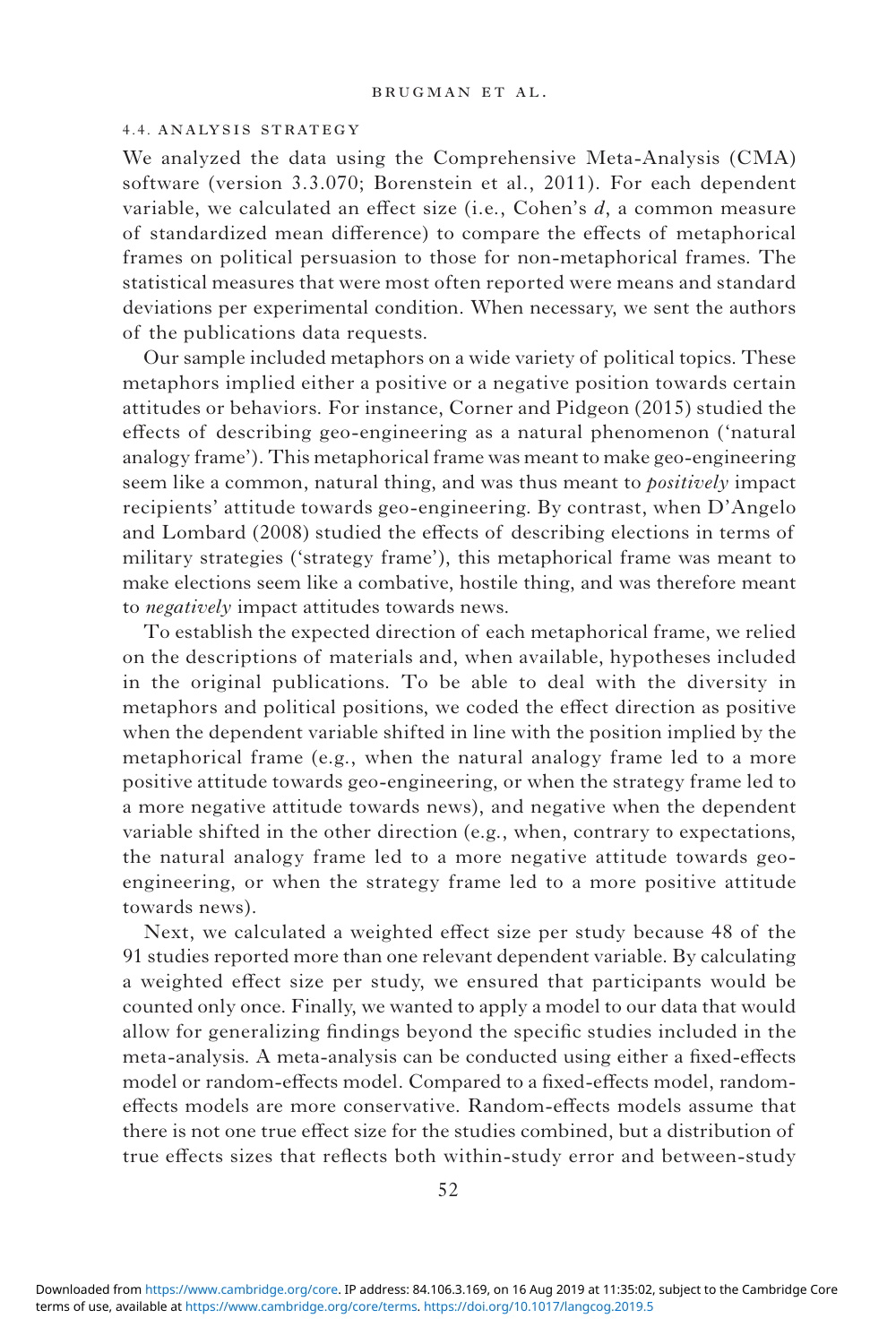#### 4.4. analysis strategy

We analyzed the data using the Comprehensive Meta-Analysis (CMA) software (version 3.3.070; Borenstein et al., 2011). For each dependent variable, we calculated an effect size (i.e., Cohen's *d*, a common measure of standardized mean difference) to compare the effects of metaphorical frames on political persuasion to those for non-metaphorical frames. The statistical measures that were most often reported were means and standard deviations per experimental condition. When necessary, we sent the authors of the publications data requests.

Our sample included metaphors on a wide variety of political topics. These metaphors implied either a positive or a negative position towards certain attitudes or behaviors. For instance, Corner and Pidgeon (2015) studied the effects of describing geo-engineering as a natural phenomenon ('natural analogy frame'). This metaphorical frame was meant to make geo-engineering seem like a common, natural thing, and was thus meant to *positively* impact recipients' attitude towards geo-engineering. By contrast, when D'Angelo and Lombard (2008) studied the effects of describing elections in terms of military strategies ('strategy frame'), this metaphorical frame was meant to make elections seem like a combative, hostile thing, and was therefore meant to *negatively* impact attitudes towards news.

To establish the expected direction of each metaphorical frame, we relied on the descriptions of materials and, when available, hypotheses included in the original publications. To be able to deal with the diversity in metaphors and political positions, we coded the effect direction as positive when the dependent variable shifted in line with the position implied by the metaphorical frame (e.g., when the natural analogy frame led to a more positive attitude towards geo-engineering, or when the strategy frame led to a more negative attitude towards news), and negative when the dependent variable shifted in the other direction (e.g., when, contrary to expectations, the natural analogy frame led to a more negative attitude towards geoengineering, or when the strategy frame led to a more positive attitude towards news).

Next, we calculated a weighted effect size per study because 48 of the 91 studies reported more than one relevant dependent variable. By calculating a weighted effect size per study, we ensured that participants would be counted only once. Finally, we wanted to apply a model to our data that would allow for generalizing findings beyond the specific studies included in the meta-analysis. A meta-analysis can be conducted using either a fixed-effects model or random-effects model. Compared to a fixed-effects model, randomeffects models are more conservative. Random-effects models assume that there is not one true effect size for the studies combined, but a distribution of true effects sizes that reflects both within-study error and between-study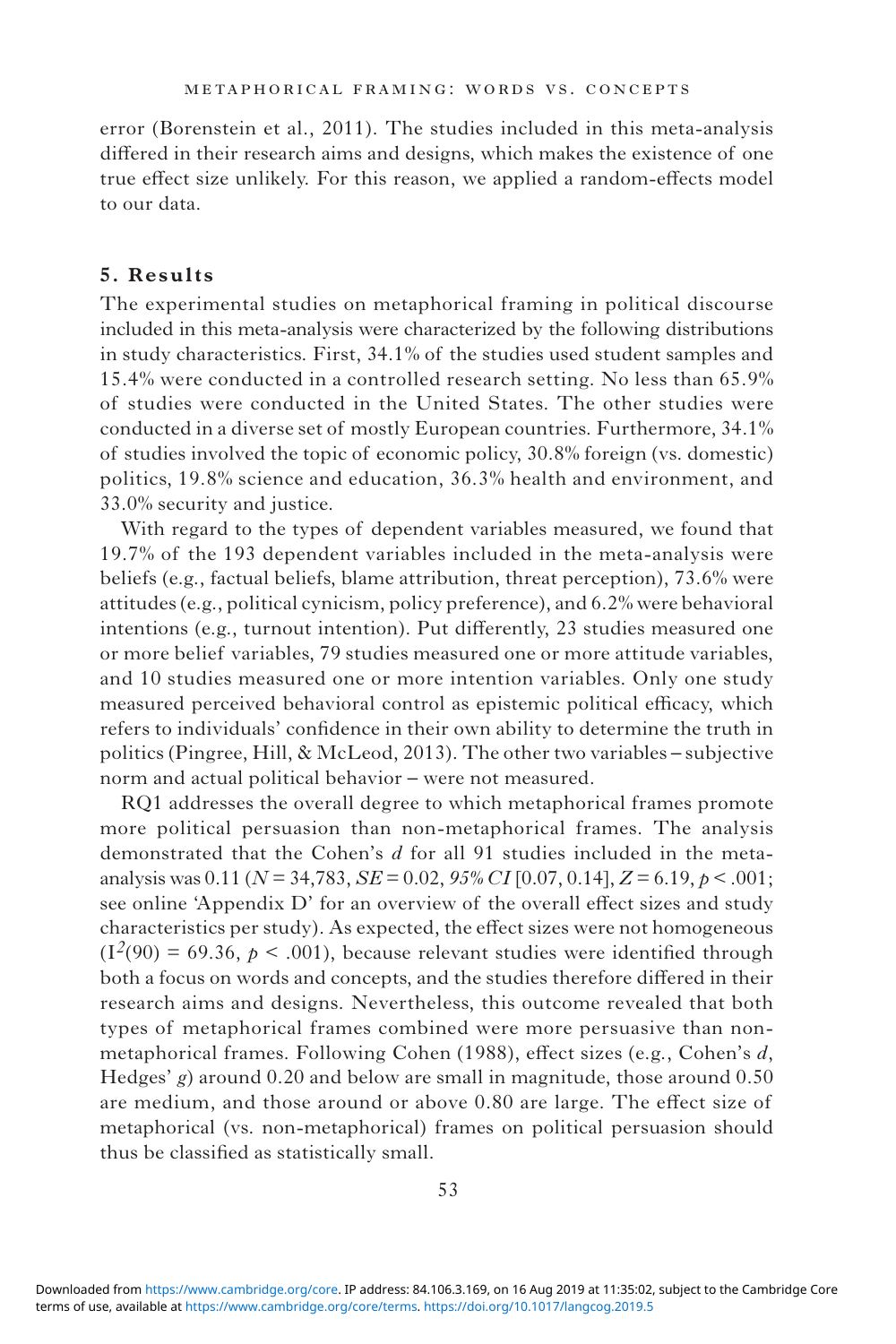error (Borenstein et al., 2011). The studies included in this meta-analysis differed in their research aims and designs, which makes the existence of one true effect size unlikely. For this reason, we applied a random-effects model to our data.

## **5. Results**

The experimental studies on metaphorical framing in political discourse included in this meta-analysis were characterized by the following distributions in study characteristics. First, 34.1% of the studies used student samples and 15.4% were conducted in a controlled research setting. No less than 65.9% of studies were conducted in the United States. The other studies were conducted in a diverse set of mostly European countries. Furthermore, 34.1% of studies involved the topic of economic policy, 30.8% foreign (vs. domestic) politics, 19.8% science and education, 36.3% health and environment, and 33.0% security and justice.

With regard to the types of dependent variables measured, we found that 19.7% of the 193 dependent variables included in the meta-analysis were beliefs (e.g., factual beliefs, blame attribution, threat perception), 73.6% were attitudes (e.g., political cynicism, policy preference), and 6.2% were behavioral intentions (e.g., turnout intention). Put differently, 23 studies measured one or more belief variables, 79 studies measured one or more attitude variables, and 10 studies measured one or more intention variables. Only one study measured perceived behavioral control as epistemic political efficacy, which refers to individuals' confidence in their own ability to determine the truth in politics (Pingree, Hill, & McLeod, 2013). The other two variables – subjective norm and actual political behavior – were not measured.

RQ1 addresses the overall degree to which metaphorical frames promote more political persuasion than non-metaphorical frames. The analysis demonstrated that the Cohen's *d* for all 91 studies included in the metaanalysis was 0.11 (*N* = 34,783, *SE* = 0.02, *95% CI* [0.07, 0.14], *Z* = 6.19, *p* < .001; see online 'Appendix D' for an overview of the overall effect sizes and study characteristics per study). As expected, the effect sizes were not homogeneous  $(I^2(90) = 69.36, p < .001)$ , because relevant studies were identified through both a focus on words and concepts, and the studies therefore differed in their research aims and designs. Nevertheless, this outcome revealed that both types of metaphorical frames combined were more persuasive than nonmetaphorical frames. Following Cohen (1988), effect sizes (e.g., Cohen's *d*, Hedges' *g*) around 0.20 and below are small in magnitude, those around 0.50 are medium, and those around or above 0.80 are large. The effect size of metaphorical (vs. non-metaphorical) frames on political persuasion should thus be classified as statistically small.

terms of use, available at [https://www.cambridge.org/core/terms.](https://www.cambridge.org/core/terms) <https://doi.org/10.1017/langcog.2019.5> Downloaded from [https://www.cambridge.org/core.](https://www.cambridge.org/core) IP address: 84.106.3.169, on 16 Aug 2019 at 11:35:02, subject to the Cambridge Core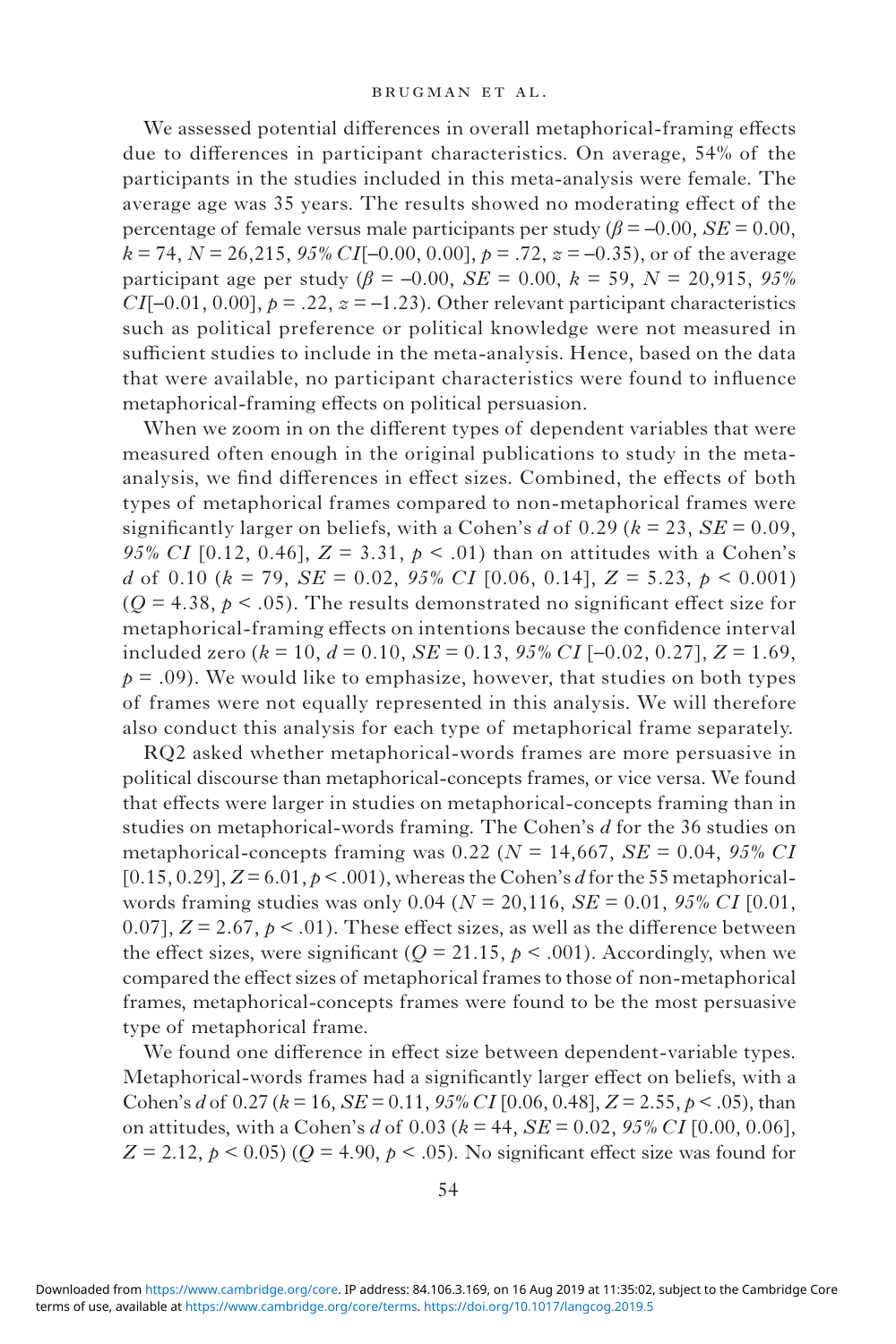We assessed potential differences in overall metaphorical-framing effects due to differences in participant characteristics. On average, 54% of the participants in the studies included in this meta-analysis were female. The average age was 35 years. The results showed no moderating effect of the percentage of female versus male participants per study ( $\beta$  = –0.00, *SE* = 0.00,  $k = 74$ ,  $N = 26,215$ ,  $95\% CI[-0.00, 0.00]$ ,  $p = .72$ ,  $z = -0.35$ ), or of the average participant age per study ( $\beta$  = -0.00, *SE* = 0.00,  $k$  = 59, *N* = 20,915, 95% *CI*[-0.01, 0.00],  $p = .22$ ,  $z = -1.23$ ). Other relevant participant characteristics such as political preference or political knowledge were not measured in sufficient studies to include in the meta-analysis. Hence, based on the data that were available, no participant characteristics were found to influence metaphorical-framing effects on political persuasion.

When we zoom in on the different types of dependent variables that were measured often enough in the original publications to study in the metaanalysis, we find differences in effect sizes. Combined, the effects of both types of metaphorical frames compared to non-metaphorical frames were significantly larger on beliefs, with a Cohen's  $d$  of 0.29 ( $k = 23$ ,  $SE = 0.09$ , *95% CI* [0.12, 0.46],  $Z = 3.31$ ,  $p < .01$ ) than on attitudes with a Cohen's *d* of 0.10 (*k* = 79, *SE* = 0.02, *95% CI* [0.06, 0.14], *Z* = 5.23, *p* < 0.001)  $(Q = 4.38, p < .05)$ . The results demonstrated no significant effect size for metaphorical-framing effects on intentions because the confidence interval included zero (*k* = 10, *d* = 0.10, *SE* = 0.13, *95% CI* [–0.02, 0.27], *Z* = 1.69,  $p = .09$ ). We would like to emphasize, however, that studies on both types of frames were not equally represented in this analysis. We will therefore also conduct this analysis for each type of metaphorical frame separately.

RQ2 asked whether metaphorical-words frames are more persuasive in political discourse than metaphorical-concepts frames, or vice versa. We found that effects were larger in studies on metaphorical-concepts framing than in studies on metaphorical-words framing. The Cohen's *d* for the 36 studies on metaphorical-concepts framing was 0.22 (*N* = 14,667, *SE* = 0.04, *95% CI*  $[0.15, 0.29]$ ,  $Z = 6.01$ ,  $p < .001$ ), whereas the Cohen's *d* for the 55 metaphoricalwords framing studies was only 0.04 (*N* = 20,116, *SE* = 0.01, *95% CI* [0.01, 0.07],  $Z = 2.67$ ,  $p < .01$ ). These effect sizes, as well as the difference between the effect sizes, were significant ( $Q = 21.15$ ,  $p < .001$ ). Accordingly, when we compared the effect sizes of metaphorical frames to those of non-metaphorical frames, metaphorical-concepts frames were found to be the most persuasive type of metaphorical frame.

We found one difference in effect size between dependent-variable types. Metaphorical-words frames had a significantly larger effect on beliefs, with a Cohen's *d* of 0.27 (*k* = 16, *SE* = 0.11, *95% CI* [0.06, 0.48], *Z* = 2.55, *p* < .05), than on attitudes, with a Cohen's *d* of 0.03 (*k* = 44, *SE* = 0.02, *95% CI* [0.00, 0.06],  $Z = 2.12$ ,  $p \le 0.05$ ) ( $Q = 4.90$ ,  $p \le 0.05$ ). No significant effect size was found for

terms of use, available at [https://www.cambridge.org/core/terms.](https://www.cambridge.org/core/terms) <https://doi.org/10.1017/langcog.2019.5> Downloaded from [https://www.cambridge.org/core.](https://www.cambridge.org/core) IP address: 84.106.3.169, on 16 Aug 2019 at 11:35:02, subject to the Cambridge Core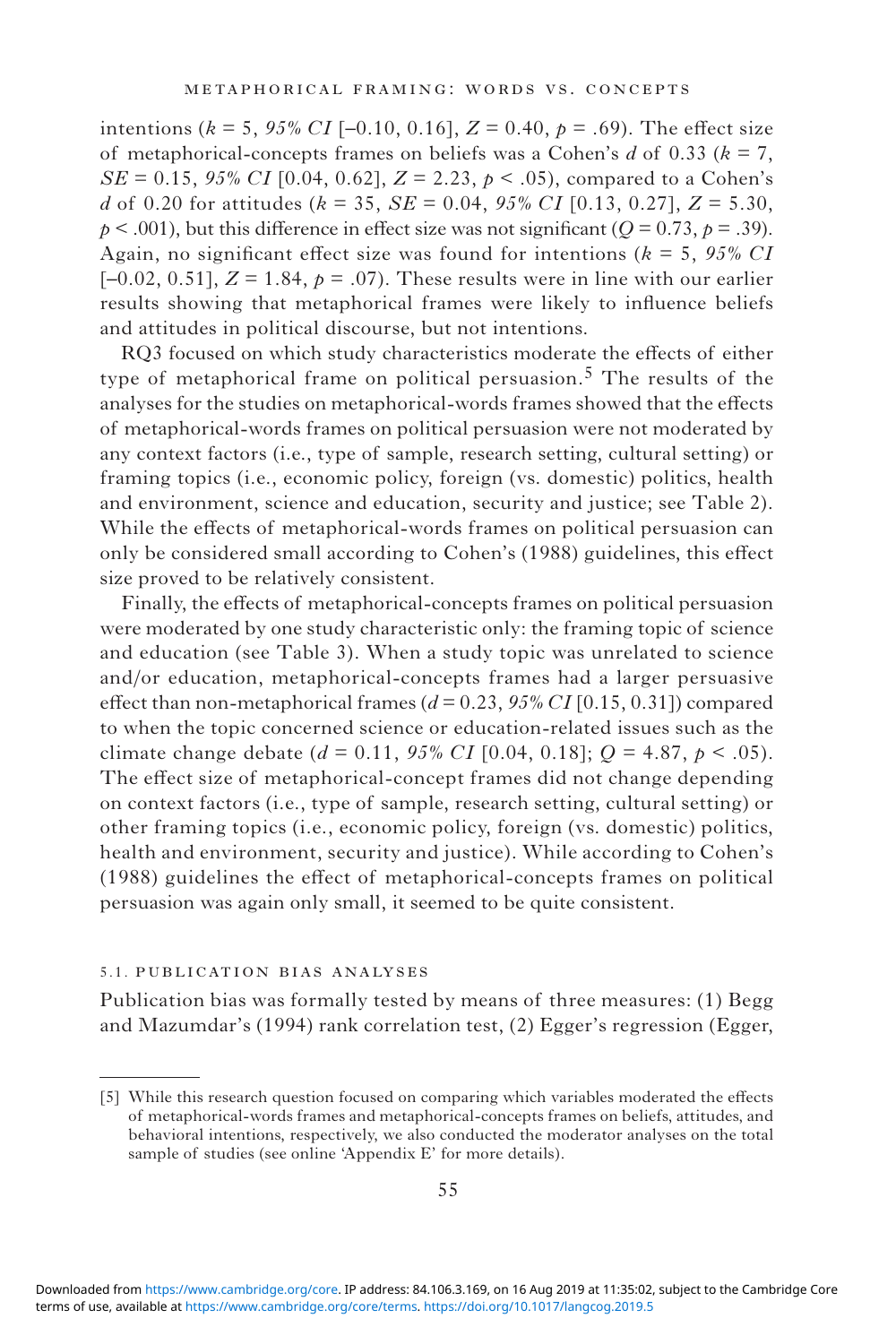intentions ( $k = 5$ , 95% CI [-0.10, 0.16],  $Z = 0.40$ ,  $p = .69$ ). The effect size of metaphorical-concepts frames on beliefs was a Cohen's *d* of 0.33 (*k* = 7, *SE* = 0.15, 95% *CI* [0.04, 0.62],  $Z = 2.23$ ,  $p < .05$ ), compared to a Cohen's *d* of 0.20 for attitudes (*k* = 35, *SE* = 0.04, *95% CI* [0.13, 0.27], *Z* = 5.30,  $p < .001$ ), but this difference in effect size was not significant ( $Q = 0.73$ ,  $p = .39$ ). Again, no significant effect size was found for intentions (*k* = 5, *95% CI* [ $-0.02$ ,  $0.51$ ],  $Z = 1.84$ ,  $p = .07$ ). These results were in line with our earlier results showing that metaphorical frames were likely to influence beliefs and attitudes in political discourse, but not intentions.

RQ3 focused on which study characteristics moderate the effects of either type of metaphorical frame on political persuasion.<sup>5</sup> The results of the analyses for the studies on metaphorical-words frames showed that the effects of metaphorical-words frames on political persuasion were not moderated by any context factors (i.e., type of sample, research setting, cultural setting) or framing topics (i.e., economic policy, foreign (vs. domestic) politics, health and environment, science and education, security and justice; see Table 2). While the effects of metaphorical-words frames on political persuasion can only be considered small according to Cohen's (1988) guidelines, this effect size proved to be relatively consistent.

Finally, the effects of metaphorical-concepts frames on political persuasion were moderated by one study characteristic only: the framing topic of science and education (see Table 3). When a study topic was unrelated to science and/or education, metaphorical-concepts frames had a larger persuasive effect than non-metaphorical frames  $(d = 0.23, 95\% \text{ CI} [0.15, 0.31])$  compared to when the topic concerned science or education-related issues such as the climate change debate ( $d = 0.11$ ,  $95\% CI$  [0.04, 0.18];  $Q = 4.87$ ,  $p < .05$ ). The effect size of metaphorical-concept frames did not change depending on context factors (i.e., type of sample, research setting, cultural setting) or other framing topics (i.e., economic policy, foreign (vs. domestic) politics, health and environment, security and justice). While according to Cohen's (1988) guidelines the effect of metaphorical-concepts frames on political persuasion was again only small, it seemed to be quite consistent.

#### 5.1. publication bias analyses

Publication bias was formally tested by means of three measures: (1) Begg and Mazumdar's (1994) rank correlation test, (2) Egger's regression (Egger,

<sup>[5]</sup> While this research question focused on comparing which variables moderated the effects of metaphorical-words frames and metaphorical-concepts frames on beliefs, attitudes, and behavioral intentions, respectively, we also conducted the moderator analyses on the total sample of studies (see online 'Appendix E' for more details).

terms of use, available at [https://www.cambridge.org/core/terms.](https://www.cambridge.org/core/terms) <https://doi.org/10.1017/langcog.2019.5> Downloaded from [https://www.cambridge.org/core.](https://www.cambridge.org/core) IP address: 84.106.3.169, on 16 Aug 2019 at 11:35:02, subject to the Cambridge Core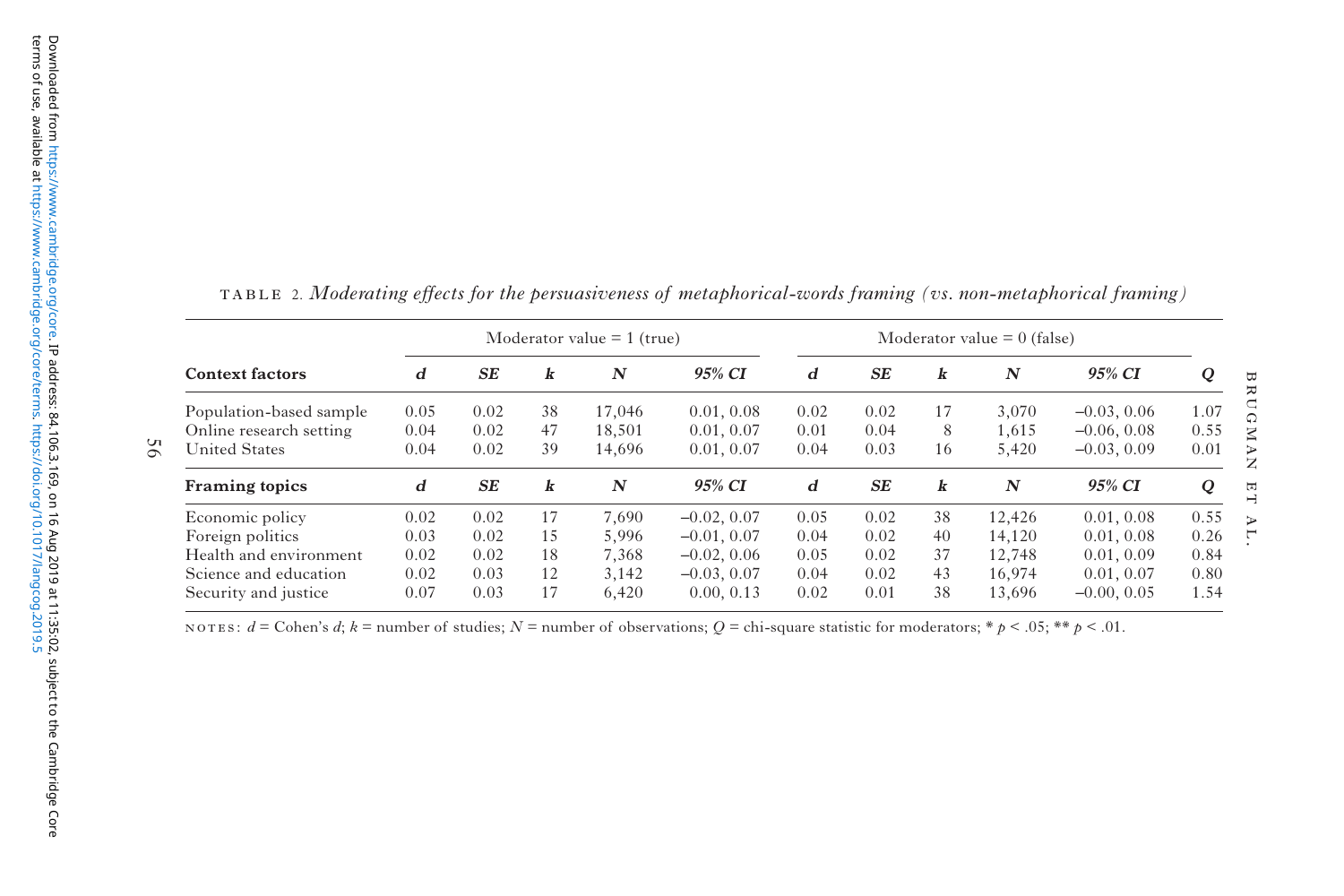| <b>Context factors</b>  | Moderator value $= 1$ (true) |           |    |                  |               | Moderator value $= 0$ (false) |           |    |                  |               |      |
|-------------------------|------------------------------|-----------|----|------------------|---------------|-------------------------------|-----------|----|------------------|---------------|------|
|                         | d                            | <b>SE</b> | k  | N                | 95% CI        | d                             | <b>SE</b> | k  | $\boldsymbol{N}$ | 95% CI        | Q    |
| Population-based sample | 0.05                         | 0.02      | 38 | 17.046           | 0.01, 0.08    | 0.02                          | 0.02      | 17 | 3.070            | $-0.03, 0.06$ | 1.07 |
| Online research setting | 0.04                         | 0.02      | 47 | 18.501           | 0.01, 0.07    | 0.01                          | 0.04      | 8  | 1.615            | $-0.06, 0.08$ | 0.55 |
| <b>United States</b>    | 0.04                         | 0.02      | 39 | 14,696           | 0.01, 0.07    | 0.04                          | 0.03      | 16 | 5,420            | $-0.03, 0.09$ | 0.01 |
| Framing topics          | d                            | SE        | k  | $\boldsymbol{N}$ | 95% CI        | d                             | SE        | k  | $\boldsymbol{N}$ | 95% CI        | Q    |
| Economic policy         | 0.02                         | 0.02      | 17 | 7.690            | $-0.02, 0.07$ | 0.05                          | 0.02      | 38 | 12.426           | 0.01, 0.08    | 0.55 |
| Foreign politics        | 0.03                         | 0.02      | 15 | 5.996            | $-0.01, 0.07$ | 0.04                          | 0.02      | 40 | 14.120           | 0.01, 0.08    | 0.26 |
| Health and environment  | 0.02                         | 0.02      | 18 | 7.368            | $-0.02, 0.06$ | 0.05                          | 0.02      | 37 | 12.748           | 0.01, 0.09    | 0.84 |
| Science and education   | 0.02                         | 0.03      | 12 | 3,142            | $-0.03, 0.07$ | 0.04                          | 0.02      | 43 | 16.974           | 0.01, 0.07    | 0.80 |
| Security and justice    | 0.07                         | 0.03      | 17 | 6.420            | 0.00, 0.13    | 0.02                          | 0.01      | 38 | 13.696           | $-0.00, 0.05$ | 1.54 |

table 2. *Moderating effects for the persuasiveness of metaphorical-words framing (vs. non-metaphorical framing)*

NOTES:  $d = \text{Cohen's } d$ ;  $k = \text{number of studies}$ ;  $N = \text{number of observations}$ ;  $Q = \text{chi-square statistic for moderators}$ ;  $* p < .05$ ;  $** p < .01$ .

56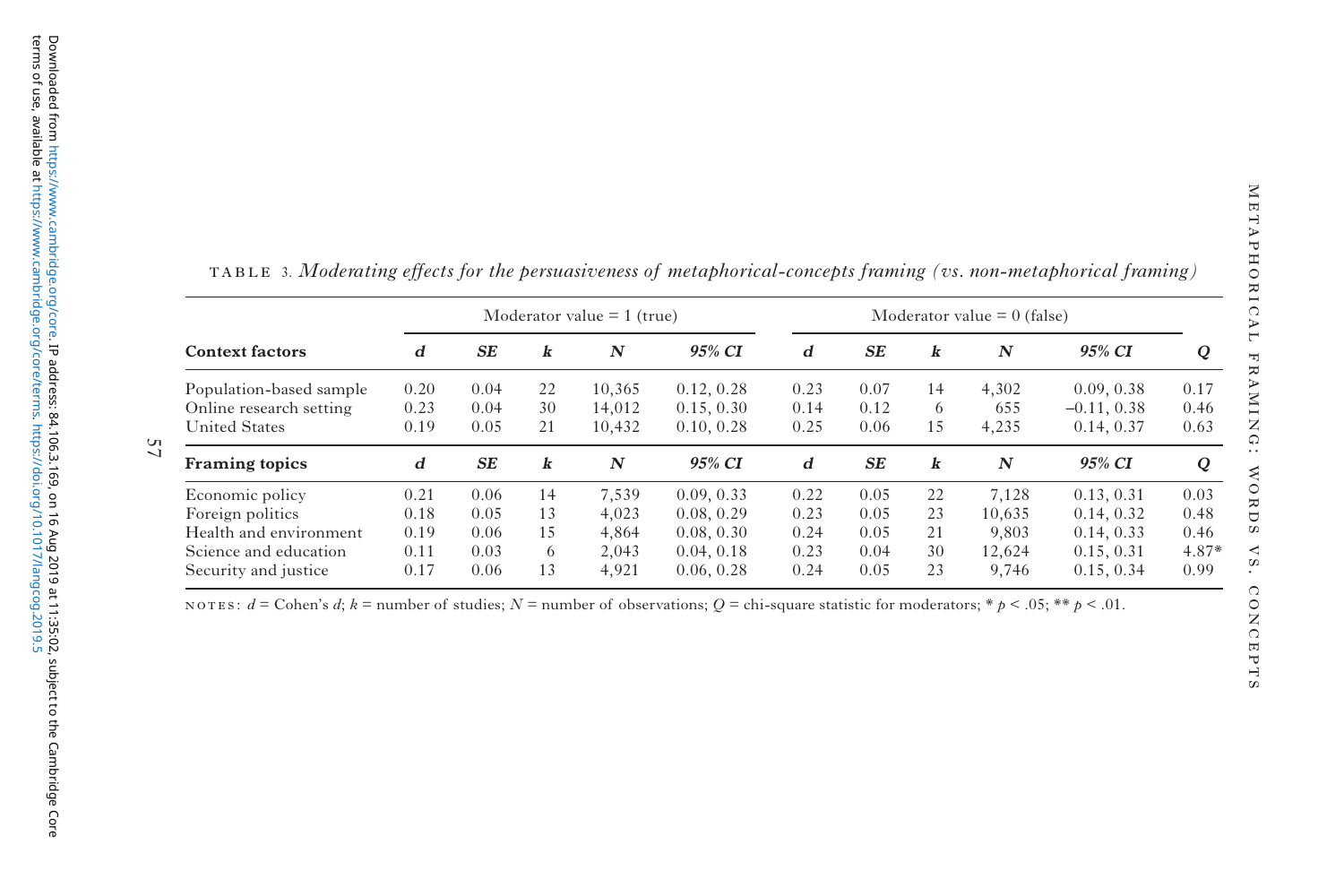| i<br>ı<br>ł<br>t<br>İ<br>ł<br>ı<br>;<br>ŀ<br>Ï<br>ı<br>ŀ<br>l<br>$\overline{\mathcal{L}}$<br>)<br>ŀ<br>j<br>þ<br>ı<br>¢<br>ì<br>;<br>t<br>ľ |
|---------------------------------------------------------------------------------------------------------------------------------------------|
| ŀ<br>Ę<br>ŀ<br>J<br>ï<br>ļ<br>b<br>T TAT<br>ľ<br>I<br>ï<br>ł<br>G<br>١                                                                      |
| ľ<br>ı<br>ť<br>Ć<br>١<br>$\frac{1}{2}$<br>ľ<br>j<br>)<br>ł<br>ś<br>ŧ<br>S                                                                   |
| ¢<br>ì<br>$\overline{\phantom{a}}$<br>I<br>k<br>ı<br>4<br>Ó<br>ì<br>Ì<br>I<br>ī<br>j<br>J<br>ž                                              |

| <b>Context factors</b>  | Moderator value $= 1$ (true) |           |    |                  |            | Moderator value $= 0$ (false) |      |    |        |               |       |
|-------------------------|------------------------------|-----------|----|------------------|------------|-------------------------------|------|----|--------|---------------|-------|
|                         | d                            | <b>SE</b> | k  | $\boldsymbol{N}$ | 95% CI     | d                             | SE   | k  | N      | 95% CI        | Q     |
| Population-based sample | 0.20                         | 0.04      | 22 | 10,365           | 0.12, 0.28 | 0.23                          | 0.07 | 14 | 4,302  | 0.09, 0.38    | 0.17  |
| Online research setting | 0.23                         | 0.04      | 30 | 14.012           | 0.15, 0.30 | 0.14                          | 0.12 | 6  | 655    | $-0.11, 0.38$ | 0.46  |
| <b>United States</b>    | 0.19                         | 0.05      | 21 | 10,432           | 0.10, 0.28 | 0.25                          | 0.06 | 15 | 4,235  | 0.14, 0.37    | 0.63  |
| <b>Framing topics</b>   | d                            | <b>SE</b> | k  | N                | 95% CI     | d                             | SE   | k  | N      | 95% CI        | Q     |
| Economic policy         | 0.21                         | 0.06      | 14 | 7.539            | 0.09, 0.33 | 0.22                          | 0.05 | 22 | 7,128  | 0.13, 0.31    | 0.03  |
| Foreign politics        | 0.18                         | 0.05      | 13 | 4.023            | 0.08, 0.29 | 0.23                          | 0.05 | 23 | 10.635 | 0.14, 0.32    | 0.48  |
| Health and environment  | 0.19                         | 0.06      | 15 | 4.864            | 0.08, 0.30 | 0.24                          | 0.05 | 21 | 9.803  | 0.14, 0.33    | 0.46  |
| Science and education   | 0.11                         | 0.03      | 6  | 2.043            | 0.04, 0.18 | 0.23                          | 0.04 | 30 | 12.624 | 0.15, 0.31    | 4.87* |
| Security and justice    | 0.17                         | 0.06      | 13 | 4.921            | 0.06, 0.28 | 0.24                          | 0.05 | 23 | 9.746  | 0.15, 0.34    | 0.99  |

table 3. *Moderating effects for the persuasiveness of metaphorical-concepts framing (vs. non-metaphorical framing)*

NOTES:  $d = \text{Cohen's } d$ ;  $k = \text{number of studies}$ ;  $N = \text{number of observations}$ ;  $Q = \text{chi-square statistic for moderators}$ ;  $* p < .05$ ;  $** p < .01$ .

57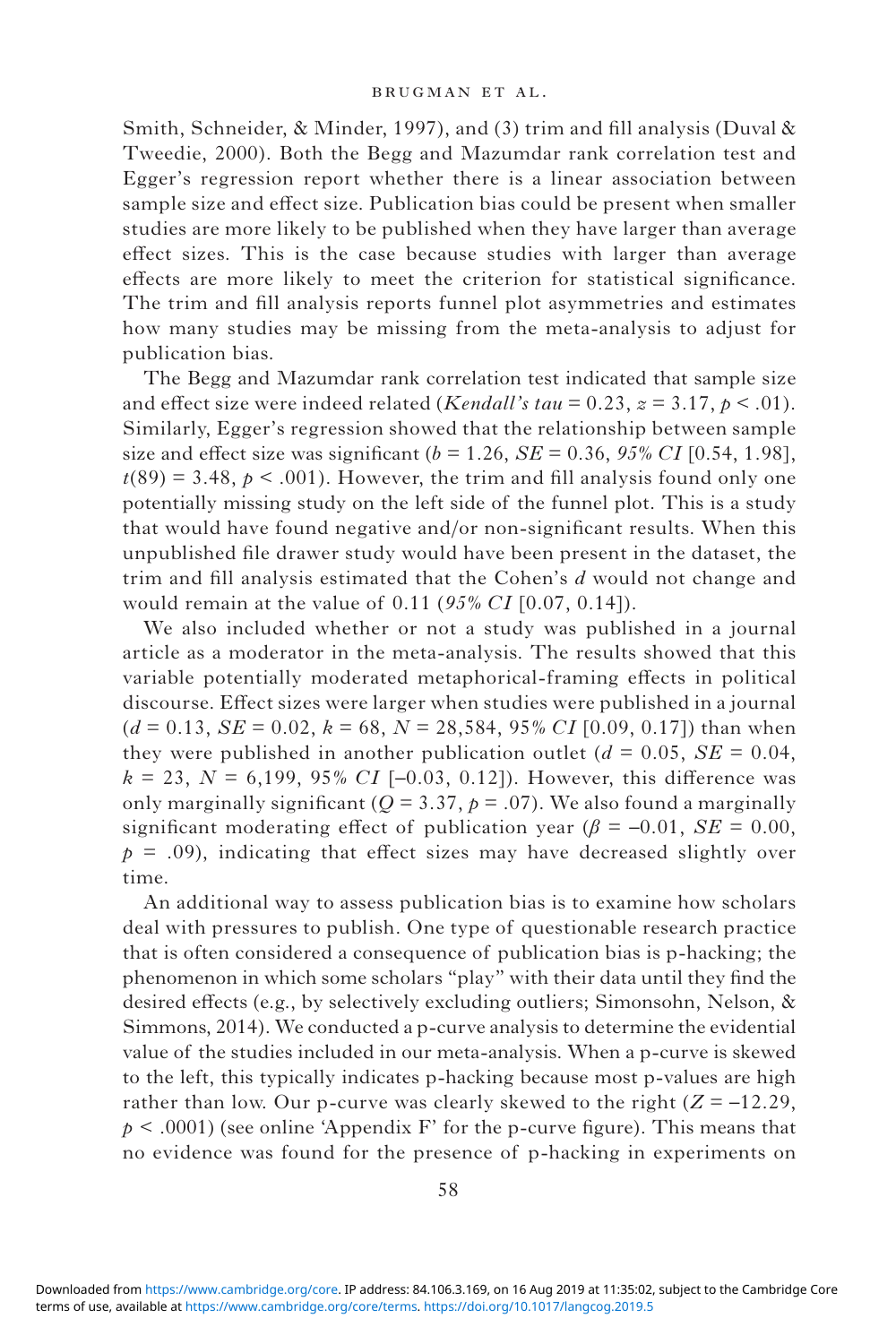Smith, Schneider, & Minder, 1997), and (3) trim and fill analysis (Duval & Tweedie, 2000). Both the Begg and Mazumdar rank correlation test and Egger's regression report whether there is a linear association between sample size and effect size. Publication bias could be present when smaller studies are more likely to be published when they have larger than average effect sizes. This is the case because studies with larger than average effects are more likely to meet the criterion for statistical significance. The trim and fill analysis reports funnel plot asymmetries and estimates how many studies may be missing from the meta-analysis to adjust for publication bias.

The Begg and Mazumdar rank correlation test indicated that sample size and effect size were indeed related (*Kendall's tau* = 0.23,  $z = 3.17$ ,  $p < .01$ ). Similarly, Egger's regression showed that the relationship between sample size and effect size was significant  $(b = 1.26, SE = 0.36, 95\% CI$  [0.54, 1.98],  $t(89) = 3.48$ ,  $p < .001$ ). However, the trim and fill analysis found only one potentially missing study on the left side of the funnel plot. This is a study that would have found negative and/or non-significant results. When this unpublished file drawer study would have been present in the dataset, the trim and fill analysis estimated that the Cohen's *d* would not change and would remain at the value of 0.11 (*95% CI* [0.07, 0.14]).

We also included whether or not a study was published in a journal article as a moderator in the meta-analysis. The results showed that this variable potentially moderated metaphorical-framing effects in political discourse. Effect sizes were larger when studies were published in a journal  $(d = 0.13, SE = 0.02, k = 68, N = 28,584, 95% CI [0.09, 0.17])$  than when they were published in another publication outlet  $(d = 0.05, SE = 0.04,$  $k = 23$ ,  $N = 6,199, 95\% \text{ CI}$  [-0.03, 0.12]). However, this difference was only marginally significant ( $Q = 3.37$ ,  $p = .07$ ). We also found a marginally significant moderating effect of publication year ( $\beta$  = –0.01, *SE* = 0.00,  $p = .09$ ), indicating that effect sizes may have decreased slightly over time.

An additional way to assess publication bias is to examine how scholars deal with pressures to publish. One type of questionable research practice that is often considered a consequence of publication bias is p-hacking; the phenomenon in which some scholars "play" with their data until they find the desired effects (e.g., by selectively excluding outliers; Simonsohn, Nelson, & Simmons, 2014). We conducted a p-curve analysis to determine the evidential value of the studies included in our meta-analysis. When a p-curve is skewed to the left, this typically indicates p-hacking because most p-values are high rather than low. Our p-curve was clearly skewed to the right  $(Z = -12.29$ ,  $p < .0001$ ) (see online 'Appendix F' for the p-curve figure). This means that no evidence was found for the presence of p-hacking in experiments on

terms of use, available at [https://www.cambridge.org/core/terms.](https://www.cambridge.org/core/terms) <https://doi.org/10.1017/langcog.2019.5> Downloaded from [https://www.cambridge.org/core.](https://www.cambridge.org/core) IP address: 84.106.3.169, on 16 Aug 2019 at 11:35:02, subject to the Cambridge Core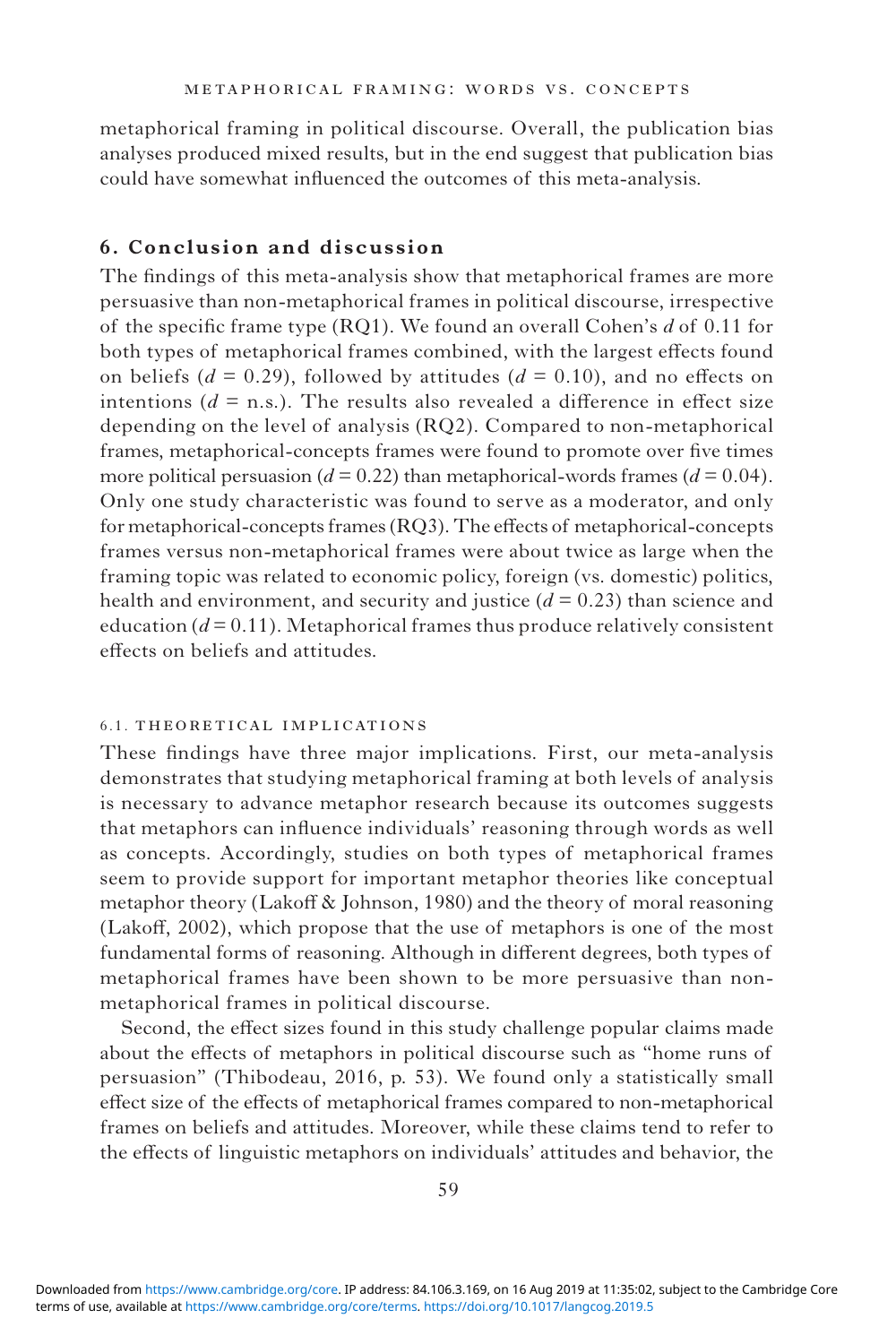metaphorical framing in political discourse. Overall, the publication bias analyses produced mixed results, but in the end suggest that publication bias could have somewhat influenced the outcomes of this meta-analysis.

# **6. Conclusion and discussion**

The findings of this meta-analysis show that metaphorical frames are more persuasive than non-metaphorical frames in political discourse, irrespective of the specific frame type (RQ1). We found an overall Cohen's *d* of 0.11 for both types of metaphorical frames combined, with the largest effects found on beliefs ( $d = 0.29$ ), followed by attitudes ( $d = 0.10$ ), and no effects on intentions  $(d = n.s.)$ . The results also revealed a difference in effect size depending on the level of analysis (RQ2). Compared to non-metaphorical frames, metaphorical-concepts frames were found to promote over five times more political persuasion ( $d = 0.22$ ) than metaphorical-words frames ( $d = 0.04$ ). Only one study characteristic was found to serve as a moderator, and only for metaphorical-concepts frames (RQ3). The effects of metaphorical-concepts frames versus non-metaphorical frames were about twice as large when the framing topic was related to economic policy, foreign (vs. domestic) politics, health and environment, and security and justice (*d* = 0.23) than science and education  $(d=0.11)$ . Metaphorical frames thus produce relatively consistent effects on beliefs and attitudes.

### 6.1. theoretical implications

These findings have three major implications. First, our meta-analysis demonstrates that studying metaphorical framing at both levels of analysis is necessary to advance metaphor research because its outcomes suggests that metaphors can influence individuals' reasoning through words as well as concepts. Accordingly, studies on both types of metaphorical frames seem to provide support for important metaphor theories like conceptual metaphor theory (Lakoff & Johnson, 1980) and the theory of moral reasoning (Lakoff, 2002), which propose that the use of metaphors is one of the most fundamental forms of reasoning. Although in different degrees, both types of metaphorical frames have been shown to be more persuasive than nonmetaphorical frames in political discourse.

Second, the effect sizes found in this study challenge popular claims made about the effects of metaphors in political discourse such as "home runs of persuasion" (Thibodeau, 2016, p. 53). We found only a statistically small effect size of the effects of metaphorical frames compared to non-metaphorical frames on beliefs and attitudes. Moreover, while these claims tend to refer to the effects of linguistic metaphors on individuals' attitudes and behavior, the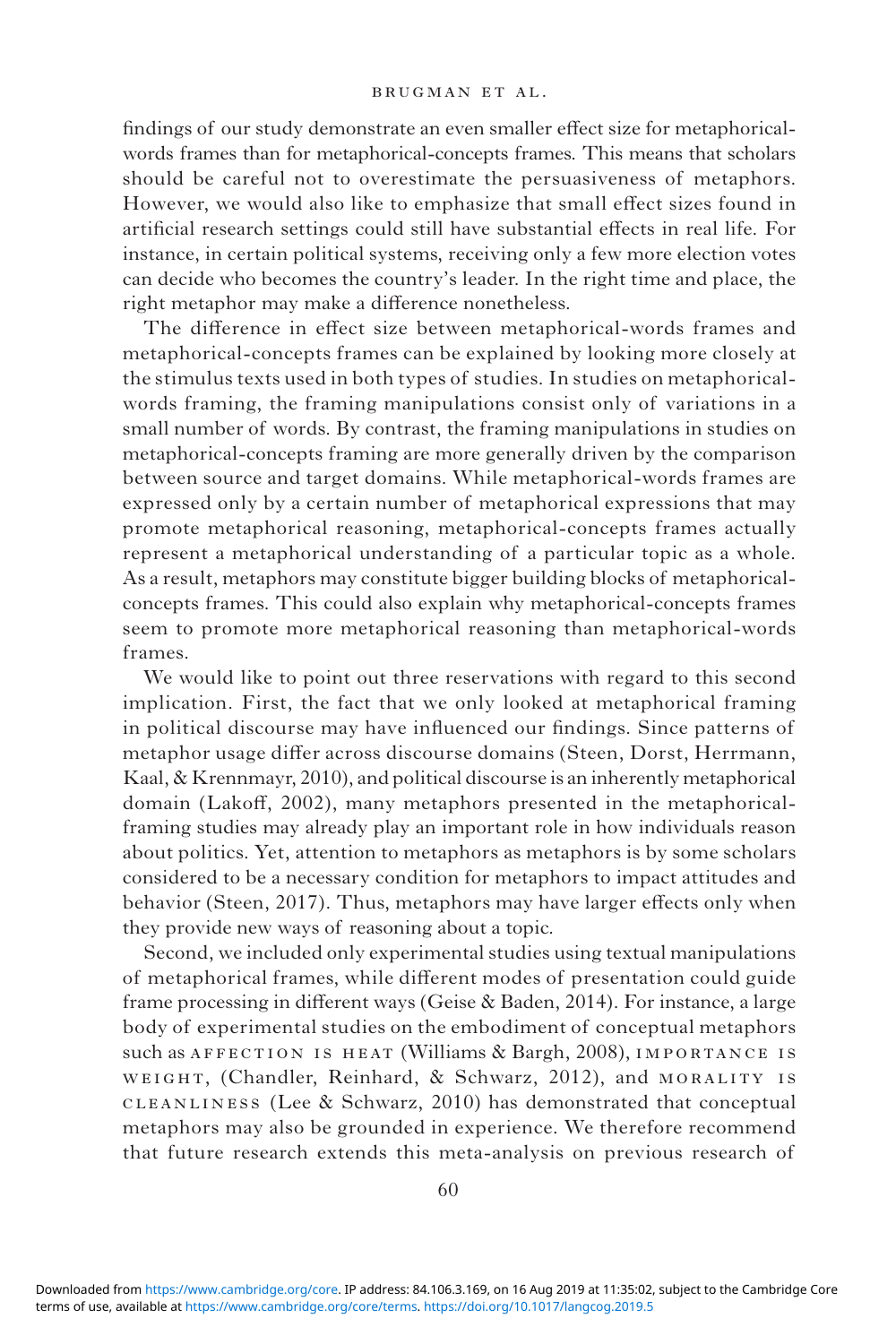findings of our study demonstrate an even smaller effect size for metaphoricalwords frames than for metaphorical-concepts frames. This means that scholars should be careful not to overestimate the persuasiveness of metaphors. However, we would also like to emphasize that small effect sizes found in artificial research settings could still have substantial effects in real life. For instance, in certain political systems, receiving only a few more election votes can decide who becomes the country's leader. In the right time and place, the right metaphor may make a difference nonetheless.

The difference in effect size between metaphorical-words frames and metaphorical-concepts frames can be explained by looking more closely at the stimulus texts used in both types of studies. In studies on metaphoricalwords framing, the framing manipulations consist only of variations in a small number of words. By contrast, the framing manipulations in studies on metaphorical-concepts framing are more generally driven by the comparison between source and target domains. While metaphorical-words frames are expressed only by a certain number of metaphorical expressions that may promote metaphorical reasoning, metaphorical-concepts frames actually represent a metaphorical understanding of a particular topic as a whole. As a result, metaphors may constitute bigger building blocks of metaphoricalconcepts frames. This could also explain why metaphorical-concepts frames seem to promote more metaphorical reasoning than metaphorical-words frames.

We would like to point out three reservations with regard to this second implication. First, the fact that we only looked at metaphorical framing in political discourse may have influenced our findings. Since patterns of metaphor usage differ across discourse domains (Steen, Dorst, Herrmann, Kaal, & Krennmayr, 2010), and political discourse is an inherently metaphorical domain (Lakoff, 2002), many metaphors presented in the metaphoricalframing studies may already play an important role in how individuals reason about politics. Yet, attention to metaphors as metaphors is by some scholars considered to be a necessary condition for metaphors to impact attitudes and behavior (Steen, 2017). Thus, metaphors may have larger effects only when they provide new ways of reasoning about a topic.

Second, we included only experimental studies using textual manipulations of metaphorical frames, while different modes of presentation could guide frame processing in different ways (Geise & Baden, 2014). For instance, a large body of experimental studies on the embodiment of conceptual metaphors such as AFFECTION IS HEAT (Williams & Bargh, 2008), IMPORTANCE IS WEIGHT, (Chandler, Reinhard, & Schwarz, 2012), and MORALITY IS cleanliness (Lee & Schwarz, 2010) has demonstrated that conceptual metaphors may also be grounded in experience. We therefore recommend that future research extends this meta-analysis on previous research of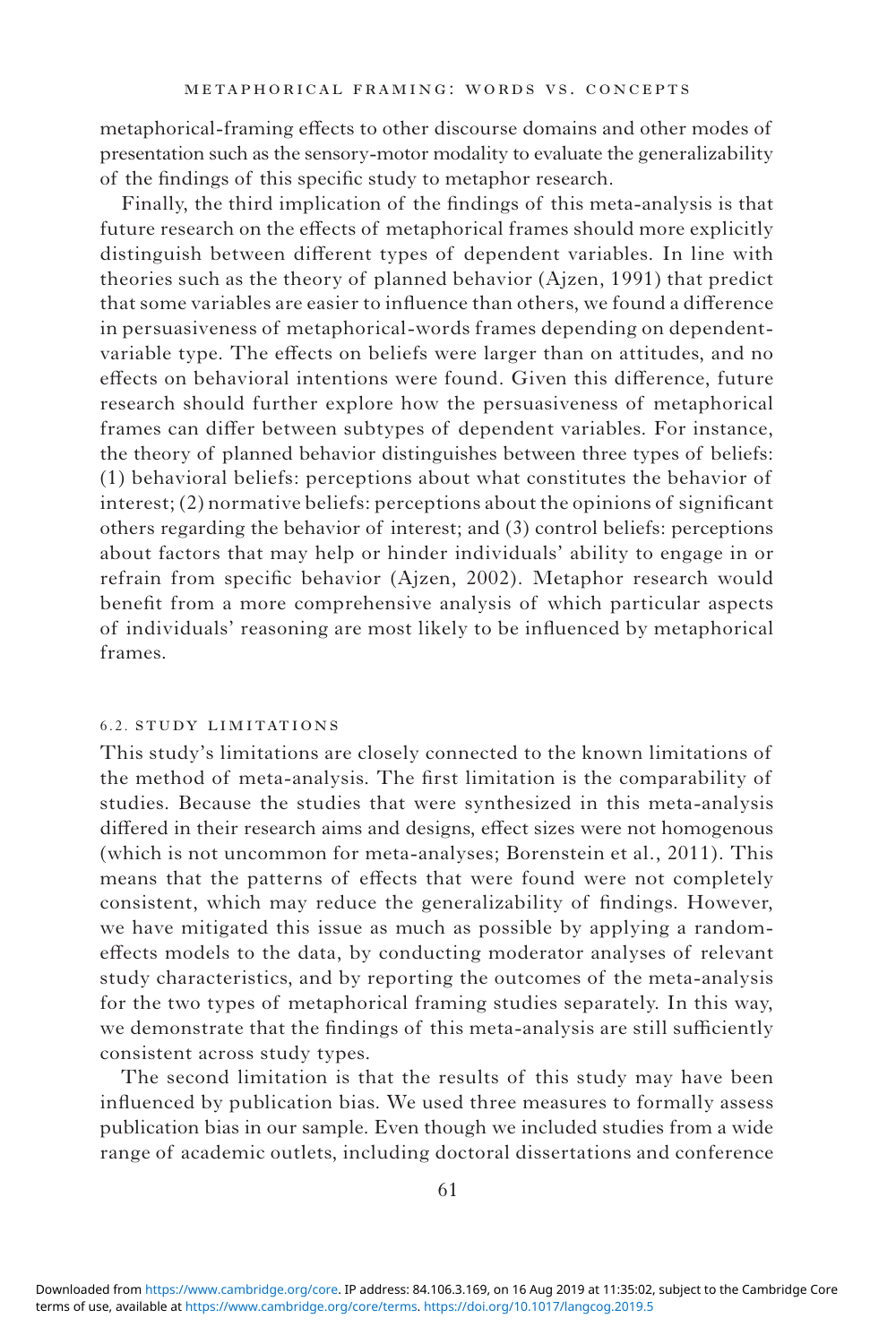metaphorical-framing effects to other discourse domains and other modes of presentation such as the sensory-motor modality to evaluate the generalizability of the findings of this specific study to metaphor research.

Finally, the third implication of the findings of this meta-analysis is that future research on the effects of metaphorical frames should more explicitly distinguish between different types of dependent variables. In line with theories such as the theory of planned behavior (Ajzen, 1991) that predict that some variables are easier to influence than others, we found a difference in persuasiveness of metaphorical-words frames depending on dependentvariable type. The effects on beliefs were larger than on attitudes, and no effects on behavioral intentions were found. Given this difference, future research should further explore how the persuasiveness of metaphorical frames can differ between subtypes of dependent variables. For instance, the theory of planned behavior distinguishes between three types of beliefs: (1) behavioral beliefs: perceptions about what constitutes the behavior of interest; (2) normative beliefs: perceptions about the opinions of significant others regarding the behavior of interest; and (3) control beliefs: perceptions about factors that may help or hinder individuals' ability to engage in or refrain from specific behavior (Ajzen, 2002). Metaphor research would benefit from a more comprehensive analysis of which particular aspects of individuals' reasoning are most likely to be influenced by metaphorical frames.

### 6.2. study limitations

This study's limitations are closely connected to the known limitations of the method of meta-analysis. The first limitation is the comparability of studies. Because the studies that were synthesized in this meta-analysis differed in their research aims and designs, effect sizes were not homogenous (which is not uncommon for meta-analyses; Borenstein et al., 2011). This means that the patterns of effects that were found were not completely consistent, which may reduce the generalizability of findings. However, we have mitigated this issue as much as possible by applying a randomeffects models to the data, by conducting moderator analyses of relevant study characteristics, and by reporting the outcomes of the meta-analysis for the two types of metaphorical framing studies separately. In this way, we demonstrate that the findings of this meta-analysis are still sufficiently consistent across study types.

The second limitation is that the results of this study may have been influenced by publication bias. We used three measures to formally assess publication bias in our sample. Even though we included studies from a wide range of academic outlets, including doctoral dissertations and conference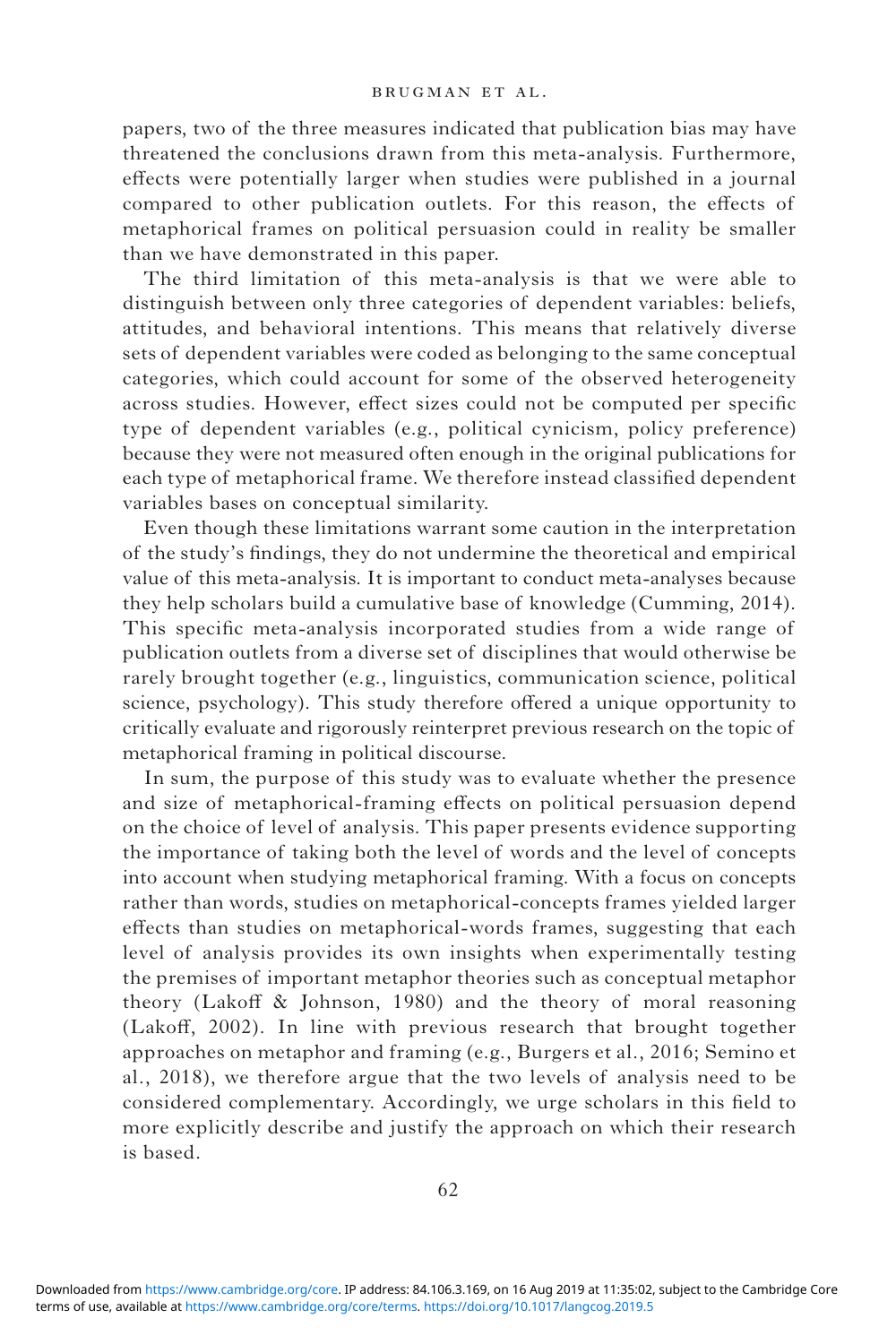papers, two of the three measures indicated that publication bias may have threatened the conclusions drawn from this meta-analysis. Furthermore, effects were potentially larger when studies were published in a journal compared to other publication outlets. For this reason, the effects of metaphorical frames on political persuasion could in reality be smaller than we have demonstrated in this paper.

The third limitation of this meta-analysis is that we were able to distinguish between only three categories of dependent variables: beliefs, attitudes, and behavioral intentions. This means that relatively diverse sets of dependent variables were coded as belonging to the same conceptual categories, which could account for some of the observed heterogeneity across studies. However, effect sizes could not be computed per specific type of dependent variables (e.g., political cynicism, policy preference) because they were not measured often enough in the original publications for each type of metaphorical frame. We therefore instead classified dependent variables bases on conceptual similarity.

Even though these limitations warrant some caution in the interpretation of the study's findings, they do not undermine the theoretical and empirical value of this meta-analysis. It is important to conduct meta-analyses because they help scholars build a cumulative base of knowledge (Cumming, 2014). This specific meta-analysis incorporated studies from a wide range of publication outlets from a diverse set of disciplines that would otherwise be rarely brought together (e.g., linguistics, communication science, political science, psychology). This study therefore offered a unique opportunity to critically evaluate and rigorously reinterpret previous research on the topic of metaphorical framing in political discourse.

In sum, the purpose of this study was to evaluate whether the presence and size of metaphorical-framing effects on political persuasion depend on the choice of level of analysis. This paper presents evidence supporting the importance of taking both the level of words and the level of concepts into account when studying metaphorical framing. With a focus on concepts rather than words, studies on metaphorical-concepts frames yielded larger effects than studies on metaphorical-words frames, suggesting that each level of analysis provides its own insights when experimentally testing the premises of important metaphor theories such as conceptual metaphor theory (Lakoff & Johnson, 1980) and the theory of moral reasoning (Lakoff, 2002). In line with previous research that brought together approaches on metaphor and framing (e.g., Burgers et al., 2016; Semino et al., 2018), we therefore argue that the two levels of analysis need to be considered complementary. Accordingly, we urge scholars in this field to more explicitly describe and justify the approach on which their research is based.

terms of use, available at [https://www.cambridge.org/core/terms.](https://www.cambridge.org/core/terms) <https://doi.org/10.1017/langcog.2019.5> Downloaded from [https://www.cambridge.org/core.](https://www.cambridge.org/core) IP address: 84.106.3.169, on 16 Aug 2019 at 11:35:02, subject to the Cambridge Core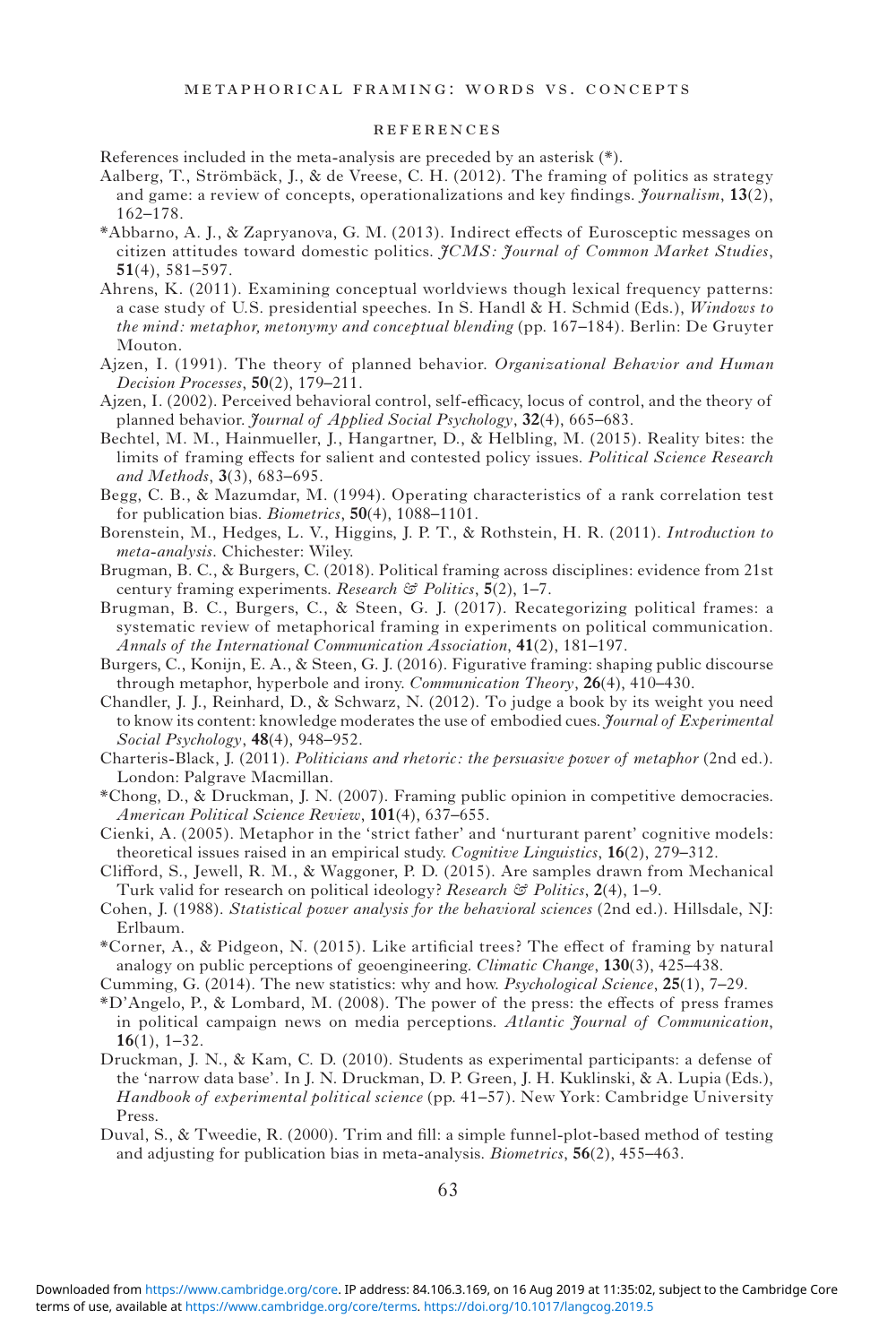#### references

References included in the meta-analysis are preceded by an asterisk (\*).

- Aalberg, T., Strömbäck, J., & de Vreese, C. H. (2012). The framing of politics as strategy and game: a review of concepts, operationalizations and key findings. *Journalism*, **13**(2), 162–178.
- \*Abbarno, A. J., & Zapryanova, G. M. (2013). Indirect effects of Eurosceptic messages on citizen attitudes toward domestic politics. *JCMS: Journal of Common Market Studies*, **51**(4), 581–597.
- Ahrens, K. (2011). Examining conceptual worldviews though lexical frequency patterns: a case study of U.S. presidential speeches. In S. Handl & H. Schmid (Eds.), *Windows to the mind: metaphor, metonymy and conceptual blending* (pp. 167–184). Berlin: De Gruyter Mouton.
- Ajzen, I. (1991). The theory of planned behavior. *Organizational Behavior and Human Decision Processes*, **50**(2), 179–211.
- Ajzen, I. (2002). Perceived behavioral control, self-efficacy, locus of control, and the theory of planned behavior. *Journal of Applied Social Psychology*, **32**(4), 665–683.
- Bechtel, M. M., Hainmueller, J., Hangartner, D., & Helbling, M. (2015). Reality bites: the limits of framing effects for salient and contested policy issues. *Political Science Research and Methods*, **3**(3), 683–695.
- Begg, C. B., & Mazumdar, M. (1994). Operating characteristics of a rank correlation test for publication bias. *Biometrics*, **50**(4), 1088–1101.
- Borenstein, M., Hedges, L. V., Higgins, J. P. T., & Rothstein, H. R. (2011). *Introduction to meta-analysis*. Chichester: Wiley.
- Brugman, B. C., & Burgers, C. (2018). Political framing across disciplines: evidence from 21st century framing experiments. *Research & Politics*, **5**(2), 1–7.
- Brugman, B. C., Burgers, C., & Steen, G. J. (2017). Recategorizing political frames: a systematic review of metaphorical framing in experiments on political communication. *Annals of the International Communication Association*, **41**(2), 181–197.
- Burgers, C., Konijn, E. A., & Steen, G. J. (2016). Figurative framing: shaping public discourse through metaphor, hyperbole and irony. *Communication Theory*, **26**(4), 410–430.
- Chandler, J. J., Reinhard, D., & Schwarz, N. (2012). To judge a book by its weight you need to know its content: knowledge moderates the use of embodied cues. *Journal of Experimental Social Psychology*, **48**(4), 948–952.
- Charteris-Black, J. (2011). *Politicians and rhetoric: the persuasive power of metaphor* (2nd ed.). London: Palgrave Macmillan.
- \*Chong, D., & Druckman, J. N. (2007). Framing public opinion in competitive democracies. *American Political Science Review*, **101**(4), 637–655.
- Cienki, A. (2005). Metaphor in the 'strict father' and 'nurturant parent' cognitive models: theoretical issues raised in an empirical study. *Cognitive Linguistics*, **16**(2), 279–312.
- Clifford, S., Jewell, R. M., & Waggoner, P. D. (2015). Are samples drawn from Mechanical Turk valid for research on political ideology? *Research & Politics*, **2**(4), 1–9.
- Cohen, J. (1988). *Statistical power analysis for the behavioral sciences* (2nd ed.). Hillsdale, NJ: Erlbaum.
- \*Corner, A., & Pidgeon, N. (2015). Like artificial trees? The effect of framing by natural analogy on public perceptions of geoengineering. *Climatic Change*, **130**(3), 425–438.
- Cumming, G. (2014). The new statistics: why and how. *Psychological Science*, **25**(1), 7–29.
- \*D'Angelo, P., & Lombard, M. (2008). The power of the press: the effects of press frames in political campaign news on media perceptions. *Atlantic Journal of Communication*, **16**(1), 1–32.
- Druckman, J. N., & Kam, C. D. (2010). Students as experimental participants: a defense of the 'narrow data base'. In J. N. Druckman, D. P. Green, J. H. Kuklinski, & A. Lupia (Eds.), *Handbook of experimental political science* (pp. 41–57). New York: Cambridge University Press.
- Duval, S., & Tweedie, R. (2000). Trim and fill: a simple funnel-plot-based method of testing and adjusting for publication bias in meta-analysis. *Biometrics*, **56**(2), 455–463.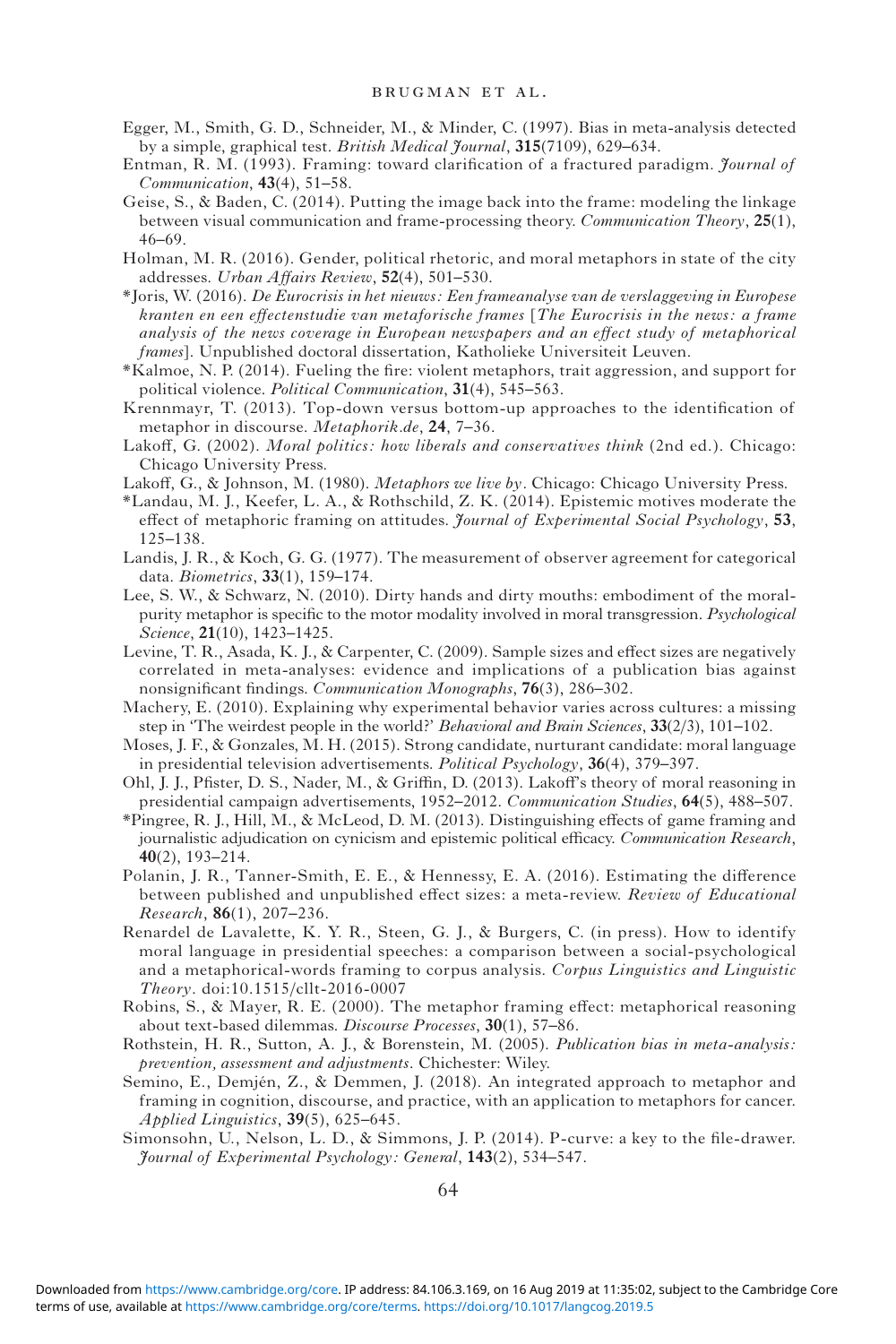- Egger, M., Smith, G. D., Schneider, M., & Minder, C. (1997). Bias in meta-analysis detected by a simple, graphical test. *British Medical Journal*, **315**(7109), 629–634.
- Entman, R. M. (1993). Framing: toward clarification of a fractured paradigm. *Journal of Communication*, **43**(4), 51–58.
- Geise, S., & Baden, C. (2014). Putting the image back into the frame: modeling the linkage between visual communication and frame-processing theory. *Communication Theory*, **25**(1), 46–69.
- Holman, M. R. (2016). Gender, political rhetoric, and moral metaphors in state of the city addresses. *Urban Affairs Review*, **52**(4), 501–530.
- \*Joris, W. (2016). *De Eurocrisis in het nieuws: Een frameanalyse van de verslaggeving in Europese kranten en een effectenstudie van metaforische frames* [*The Eurocrisis in the news: a frame analysis of the news coverage in European newspapers and an effect study of metaphorical frames*]. Unpublished doctoral dissertation, Katholieke Universiteit Leuven.
- \*Kalmoe, N. P. (2014). Fueling the fire: violent metaphors, trait aggression, and support for political violence. *Political Communication*, **31**(4), 545–563.
- Krennmayr, T. (2013). Top-down versus bottom-up approaches to the identification of metaphor in discourse. *Metaphorik.de*, **24**, 7–36.
- Lakoff, G. (2002). *Moral politics: how liberals and conservatives think* (2nd ed.). Chicago: Chicago University Press.
- Lakoff, G., & Johnson, M. (1980). *Metaphors we live by.* Chicago: Chicago University Press.
- \*Landau, M. J., Keefer, L. A., & Rothschild, Z. K. (2014). Epistemic motives moderate the effect of metaphoric framing on attitudes. *Journal of Experimental Social Psychology*, **53**, 125–138.
- Landis, J. R., & Koch, G. G. (1977). The measurement of observer agreement for categorical data. *Biometrics*, **33**(1), 159–174.
- Lee, S. W., & Schwarz, N. (2010). Dirty hands and dirty mouths: embodiment of the moralpurity metaphor is specific to the motor modality involved in moral transgression. *Psychological Science*, **21**(10), 1423–1425.
- Levine, T. R., Asada, K. J., & Carpenter, C. (2009). Sample sizes and effect sizes are negatively correlated in meta-analyses: evidence and implications of a publication bias against nonsignificant findings. *Communication Monographs*, **76**(3), 286–302.
- Machery, E. (2010). Explaining why experimental behavior varies across cultures: a missing step in 'The weirdest people in the world?' *Behavioral and Brain Sciences*, **33**(2/3), 101–102.
- Moses, J. F., & Gonzales, M. H. (2015). Strong candidate, nurturant candidate: moral language in presidential television advertisements. *Political Psychology*, **36**(4), 379–397.
- Ohl, J. J., Pfister, D. S., Nader, M., & Griffin, D. (2013). Lakoff's theory of moral reasoning in presidential campaign advertisements, 1952–2012. *Communication Studies*, **64**(5), 488–507.
- \*Pingree, R. J., Hill, M., & McLeod, D. M. (2013). Distinguishing effects of game framing and journalistic adjudication on cynicism and epistemic political efficacy. *Communication Research*, **40**(2), 193–214.
- Polanin, J. R., Tanner-Smith, E. E., & Hennessy, E. A. (2016). Estimating the difference between published and unpublished effect sizes: a meta-review. *Review of Educational Research*, **86**(1), 207–236.
- Renardel de Lavalette, K. Y. R., Steen, G. J., & Burgers, C. (in press). How to identify moral language in presidential speeches: a comparison between a social-psychological and a metaphorical-words framing to corpus analysis. *Corpus Linguistics and Linguistic Theory*. doi:[10.1515/cllt-2016-0007](https://doi.org/10.1515/cllt-2016-0007)
- Robins, S., & Mayer, R. E. (2000). The metaphor framing effect: metaphorical reasoning about text-based dilemmas. *Discourse Processes*, **30**(1), 57–86.
- Rothstein, H. R., Sutton, A. J., & Borenstein, M. (2005). *Publication bias in meta-analysis: prevention, assessment and adjustments*. Chichester: Wiley.
- Semino, E., Demjén, Z., & Demmen, J. (2018). An integrated approach to metaphor and framing in cognition, discourse, and practice, with an application to metaphors for cancer. *Applied Linguistics*, **39**(5), 625–645.
- Simonsohn, U., Nelson, L. D., & Simmons, J. P. (2014). P-curve: a key to the file-drawer. *Journal of Experimental Psychology: General*, **143**(2), 534–547.